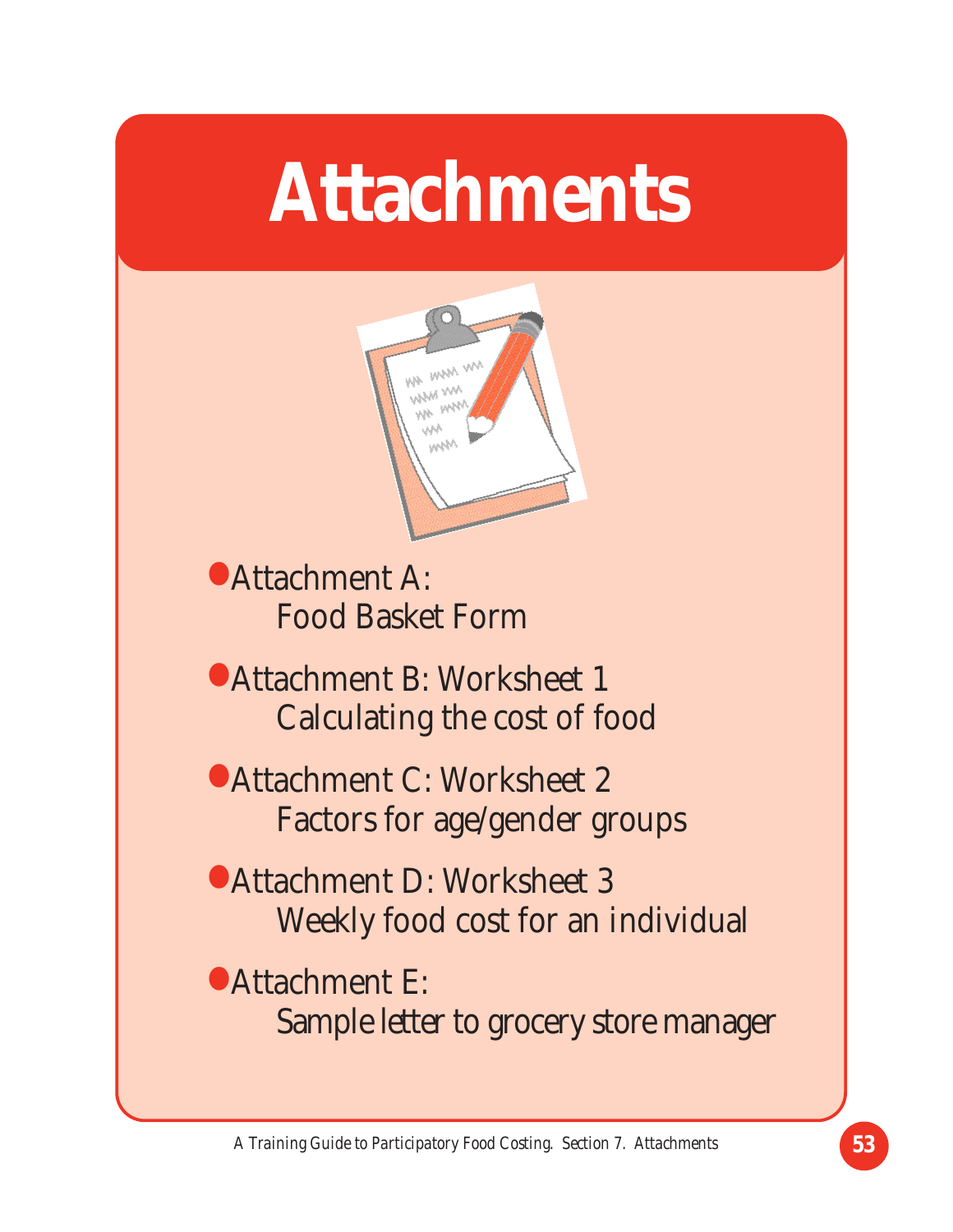# **Attachments**



• Attachment A: Food Basket Form

• Attachment B: Worksheet 1 Calculating the cost of food

• Attachment C: Worksheet 2 Factors for age/gender groups

• Attachment D: Worksheet 3 Weekly food cost for an individual

• Attachment E: Sample letter to grocery store manager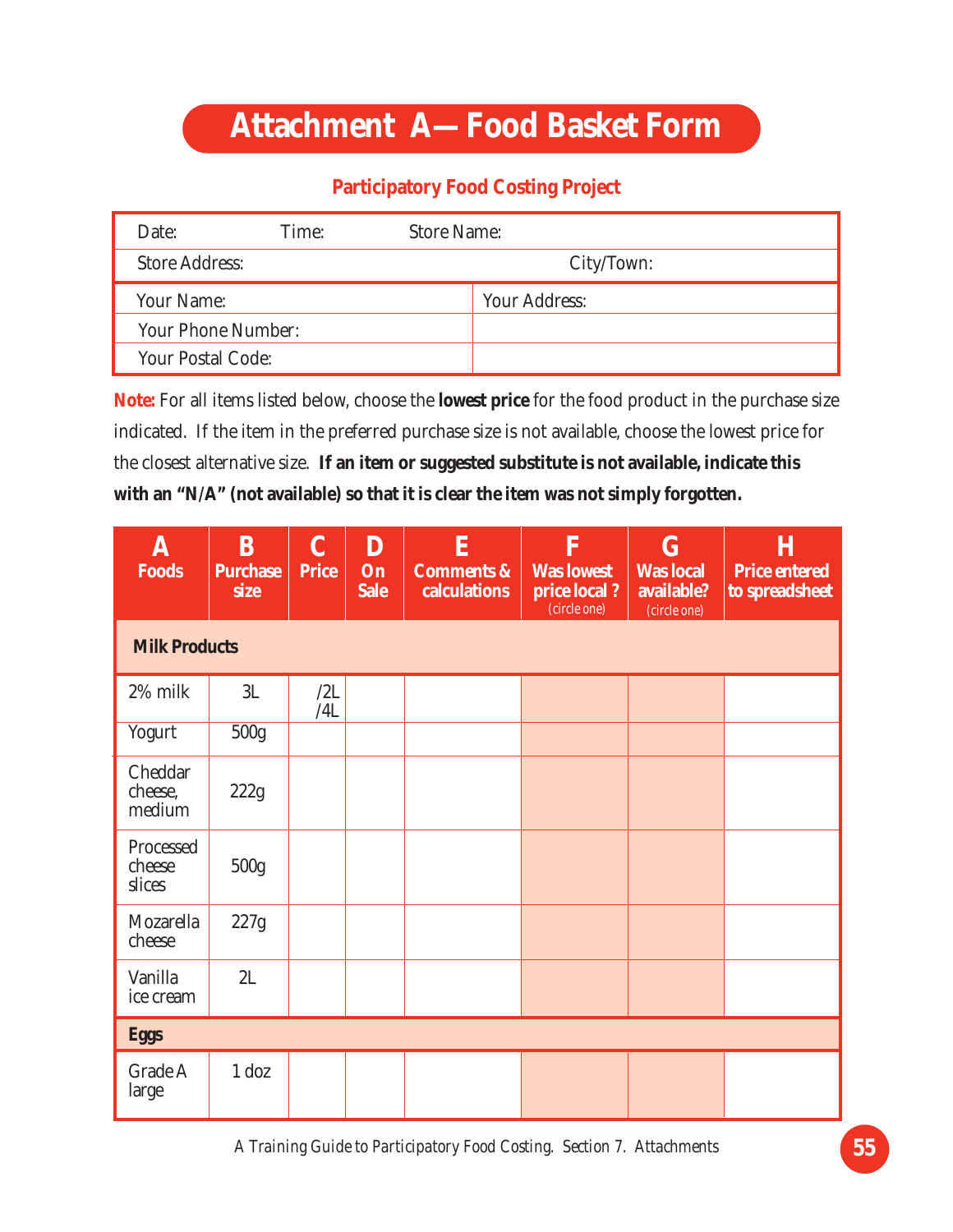### **Attachment A—Food Basket Form**

#### **Participatory Food Costing Project**

| Date:                    | Time: | <b>Store Name:</b>   |  |  |  |  |
|--------------------------|-------|----------------------|--|--|--|--|
| <b>Store Address:</b>    |       | City/Town:           |  |  |  |  |
| Your Name:               |       | <b>Your Address:</b> |  |  |  |  |
| Your Phone Number:       |       |                      |  |  |  |  |
| <b>Your Postal Code:</b> |       |                      |  |  |  |  |

**Note:** For all items listed below, choose the **lowest price** for the food product in the purchase size indicated. If the item in the preferred purchase size is not available, choose the lowest price for the closest alternative size. **If an item or suggested substitute is not available, indicate this with an "N/A" (not available) so that it is clear the item was not simply forgotten.**

| A<br><b>Foods</b>             | <sub>B</sub><br><b>Purchase</b><br>size | $\mathbf C$<br><b>Price</b> | D<br>On<br><b>Sale</b> | E<br><b>Comments &amp;</b><br>calculations | F<br><b>Was lowest</b><br>price local?<br>(circle one) | $\mathbf G$<br><b>Was local</b><br>available?<br>(circle one) | $\bf H$<br><b>Price entered</b><br>to spreadsheet |  |  |  |  |
|-------------------------------|-----------------------------------------|-----------------------------|------------------------|--------------------------------------------|--------------------------------------------------------|---------------------------------------------------------------|---------------------------------------------------|--|--|--|--|
| <b>Milk Products</b>          |                                         |                             |                        |                                            |                                                        |                                                               |                                                   |  |  |  |  |
| 2% milk                       | 3L                                      | /2L<br>/4L                  |                        |                                            |                                                        |                                                               |                                                   |  |  |  |  |
| Yogurt                        | 500g                                    |                             |                        |                                            |                                                        |                                                               |                                                   |  |  |  |  |
| Cheddar<br>cheese,<br>medium  | 222g                                    |                             |                        |                                            |                                                        |                                                               |                                                   |  |  |  |  |
| Processed<br>cheese<br>slices | 500 <sub>g</sub>                        |                             |                        |                                            |                                                        |                                                               |                                                   |  |  |  |  |
| Mozarella<br>cheese           | 227g                                    |                             |                        |                                            |                                                        |                                                               |                                                   |  |  |  |  |
| Vanilla<br>ice cream          | 2L                                      |                             |                        |                                            |                                                        |                                                               |                                                   |  |  |  |  |
| <b>Eggs</b>                   |                                         |                             |                        |                                            |                                                        |                                                               |                                                   |  |  |  |  |
| Grade A<br>large              | $1$ doz                                 |                             |                        |                                            |                                                        |                                                               |                                                   |  |  |  |  |

*A Training Guide to Participatory Food Costing. Section 7. Attachments* **55**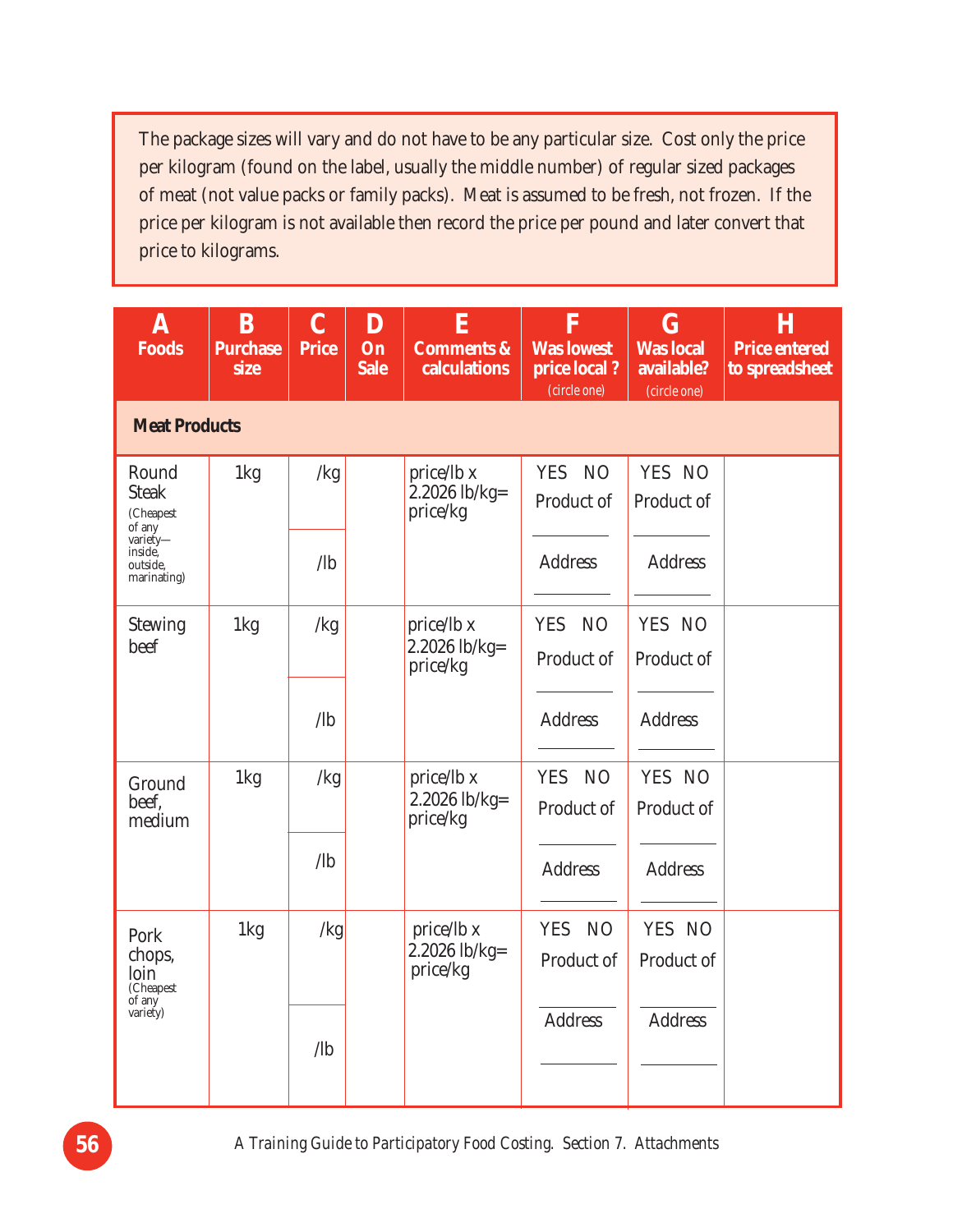The package sizes will vary and do not have to be any particular size. Cost only the price per kilogram (found on the label, usually the middle number) of regular sized packages of meat (not value packs or family packs). Meat is assumed to be fresh, not frozen. If the price per kilogram is not available then record the price per pound and later convert that price to kilograms.

| $\boldsymbol{\lambda}$<br><b>Foods</b>                                                         | B<br><b>Purchase</b><br>size | $\overline{C}$<br><b>Price</b> | D<br>On<br><b>Sale</b> | $\bf{E}$<br><b>Comments &amp;</b><br>calculations | $\overline{\mathbf{F}}$<br><b>Was lowest</b><br>price local?<br>(circle one) | $\bf G$<br><b>Was local</b><br>available?<br>(circle one) | H<br><b>Price entered</b><br>to spreadsheet |  |  |  |  |
|------------------------------------------------------------------------------------------------|------------------------------|--------------------------------|------------------------|---------------------------------------------------|------------------------------------------------------------------------------|-----------------------------------------------------------|---------------------------------------------|--|--|--|--|
|                                                                                                | <b>Meat Products</b>         |                                |                        |                                                   |                                                                              |                                                           |                                             |  |  |  |  |
| Round<br><b>Steak</b><br>(Cheapest<br>of any<br>variety-<br>inside,<br>outside.<br>marinating) | 1kg                          | /kg                            |                        | price/lb x<br>2.2026 lb/kg=<br>price/kg           | YES NO<br>Product of                                                         | YES NO<br>Product of                                      |                                             |  |  |  |  |
|                                                                                                |                              | $\sqrt{b}$                     |                        |                                                   | <b>Address</b>                                                               | <b>Address</b>                                            |                                             |  |  |  |  |
| <b>Stewing</b><br>beef                                                                         | 1kg                          | /kg                            |                        | price/lb x<br>$2.2026$ lb/kg=<br>price/kg         | YES NO<br>Product of                                                         | YES NO<br>Product of                                      |                                             |  |  |  |  |
|                                                                                                |                              | $\sqrt{ab}$                    |                        |                                                   | <b>Address</b>                                                               | <b>Address</b>                                            |                                             |  |  |  |  |
| Ground<br>beef.<br>medium                                                                      | 1kg                          | /kg                            |                        | price/lb x<br>2.2026 lb/kg=<br>price/kg           | <b>YES</b><br>NO<br>Product of                                               | YES NO<br>Product of                                      |                                             |  |  |  |  |
|                                                                                                |                              | $\sqrt{b}$                     |                        |                                                   | <b>Address</b>                                                               | <b>Address</b>                                            |                                             |  |  |  |  |
| Pork<br>chops,<br>loin<br>(Cheapest                                                            | 1kg                          | /kg                            |                        | price/lb x<br>2.2026 lb/kg=<br>price/kg           | <b>YES</b><br>N <sub>O</sub><br>Product of                                   | YES NO<br>Product of                                      |                                             |  |  |  |  |
| $\overrightarrow{$ of any<br>variety)                                                          |                              | $\sqrt{1}$                     |                        |                                                   | <b>Address</b>                                                               | <b>Address</b>                                            |                                             |  |  |  |  |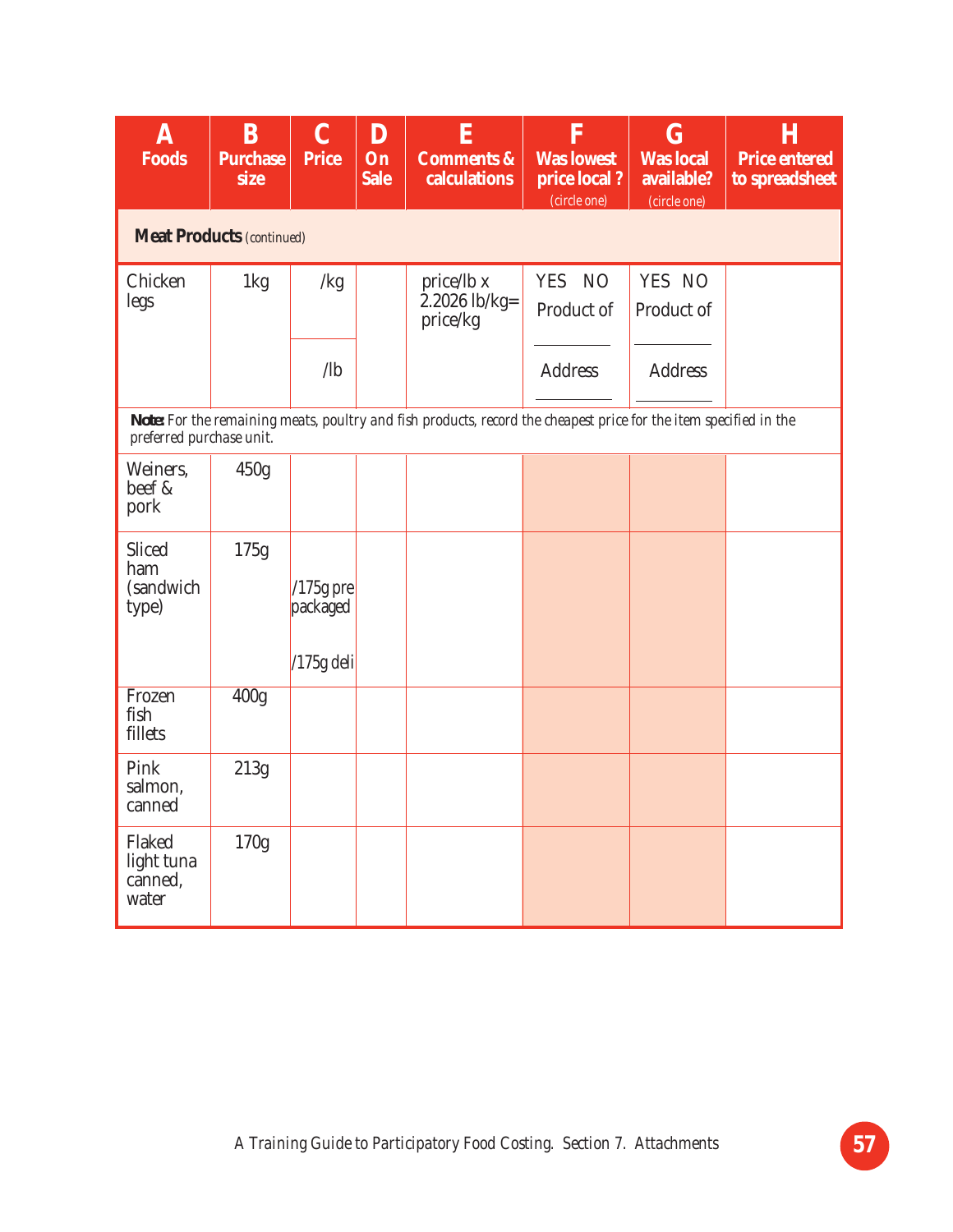| $\mathbf A$<br><b>Foods</b>              | B<br><b>Purchase</b><br>size     | $\mathbf C$<br><b>Price</b>             | D<br>On<br><b>Sale</b> | E<br><b>Comments &amp;</b><br>calculations                                                                        | F<br><b>Was lowest</b><br>price local?<br>(circle one) | $\overline{G}$<br><b>Was local</b><br>available?<br>(circle one) | H<br><b>Price entered</b><br>to spreadsheet |
|------------------------------------------|----------------------------------|-----------------------------------------|------------------------|-------------------------------------------------------------------------------------------------------------------|--------------------------------------------------------|------------------------------------------------------------------|---------------------------------------------|
|                                          | <b>Meat Products (continued)</b> |                                         |                        |                                                                                                                   |                                                        |                                                                  |                                             |
| Chicken<br>legs                          | 1kg                              | /kg                                     |                        | price/lb x<br>$2.2026$ lb/kg=<br>price/kg                                                                         | YES NO<br>Product of                                   | YES NO<br>Product of                                             |                                             |
|                                          |                                  | $\sqrt{a}$                              |                        |                                                                                                                   | <b>Address</b>                                         | <b>Address</b>                                                   |                                             |
| preferred purchase unit.                 |                                  |                                         |                        | Note: For the remaining meats, poultry and fish products, record the cheapest price for the item specified in the |                                                        |                                                                  |                                             |
| Weiners,<br>beef &<br>pork               | 450g                             |                                         |                        |                                                                                                                   |                                                        |                                                                  |                                             |
| Sliced<br>ham<br>(sandwich<br>type)      | 175g                             | $/175g$ pre<br>packaged<br>$/175g$ deli |                        |                                                                                                                   |                                                        |                                                                  |                                             |
| Frozen<br>fish<br>fillets                | 400g                             |                                         |                        |                                                                                                                   |                                                        |                                                                  |                                             |
| Pink<br>salmon,<br>canned                | 213g                             |                                         |                        |                                                                                                                   |                                                        |                                                                  |                                             |
| Flaked<br>light tuna<br>canned,<br>water | 170g                             |                                         |                        |                                                                                                                   |                                                        |                                                                  |                                             |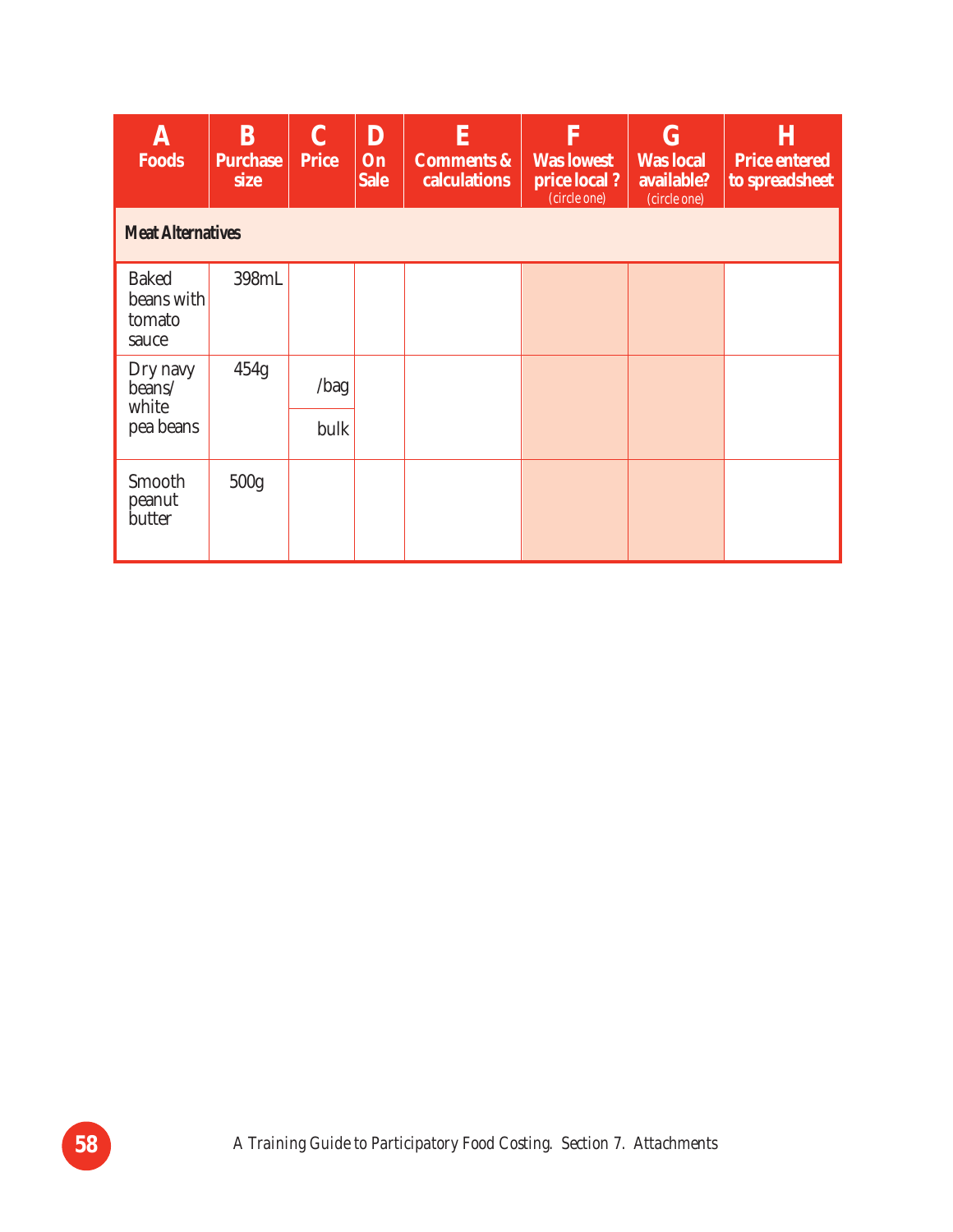| A<br><b>Foods</b>                             | B<br><b>Purchase</b><br>size | C<br><b>Price</b> | D<br>On<br><b>Sale</b> | E<br><b>Comments &amp;</b><br>calculations | F<br><b>Was lowest</b><br>price local?<br>(circle one) | $\bf G$<br><b>Was local</b><br>available?<br>(circle one) | Η<br><b>Price entered</b><br>to spreadsheet |  |  |  |
|-----------------------------------------------|------------------------------|-------------------|------------------------|--------------------------------------------|--------------------------------------------------------|-----------------------------------------------------------|---------------------------------------------|--|--|--|
| <b>Meat Alternatives</b>                      |                              |                   |                        |                                            |                                                        |                                                           |                                             |  |  |  |
| <b>Baked</b><br>beans with<br>tomato<br>sauce | 398mL                        |                   |                        |                                            |                                                        |                                                           |                                             |  |  |  |
| Dry navy<br>beans/<br>white                   | 454g                         | /bag              |                        |                                            |                                                        |                                                           |                                             |  |  |  |
| pea beans                                     |                              | bulk              |                        |                                            |                                                        |                                                           |                                             |  |  |  |
| Smooth<br>peanut<br>butter                    | 500 <sub>g</sub>             |                   |                        |                                            |                                                        |                                                           |                                             |  |  |  |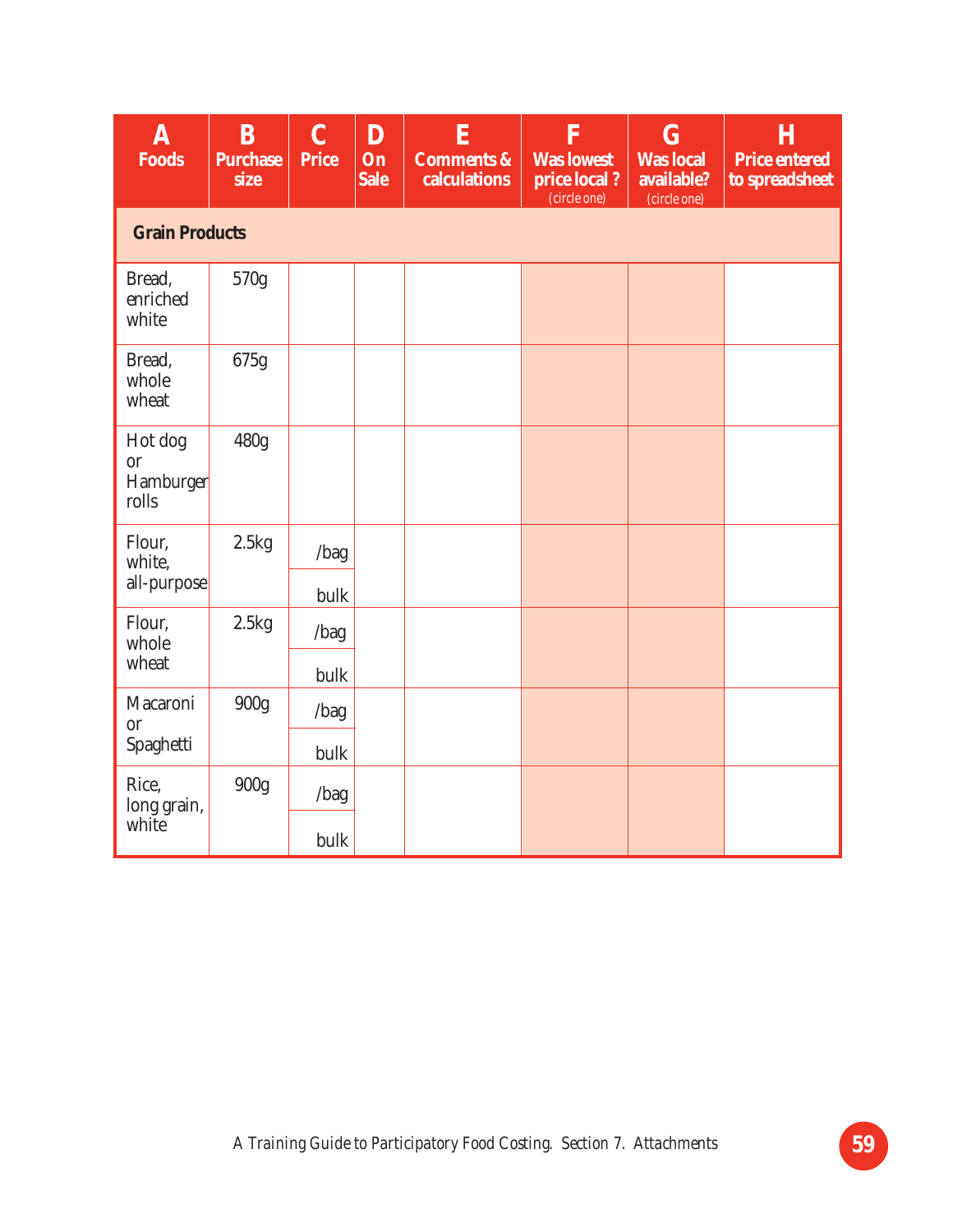| $\overline{\mathbf{A}}$<br><b>Foods</b>    | B<br><b>Purchase</b><br>size | $\overline{C}$<br><b>Price</b> | D<br>On<br><b>Sale</b> | E<br><b>Comments &amp;</b><br>calculations | F<br><b>Was lowest</b><br>price local?<br>(circle one) | $\overline{G}$<br><b>Was local</b><br>available?<br>(circle one) | H<br><b>Price entered</b><br>to spreadsheet |
|--------------------------------------------|------------------------------|--------------------------------|------------------------|--------------------------------------------|--------------------------------------------------------|------------------------------------------------------------------|---------------------------------------------|
| <b>Grain Products</b>                      |                              |                                |                        |                                            |                                                        |                                                                  |                                             |
| Bread,<br>enriched<br>white                | 570g                         |                                |                        |                                            |                                                        |                                                                  |                                             |
| Bread,<br>whole<br>wheat                   | 675g                         |                                |                        |                                            |                                                        |                                                                  |                                             |
| Hot dog<br><b>or</b><br>Hamburger<br>rolls | 480g                         |                                |                        |                                            |                                                        |                                                                  |                                             |
| Flour,<br>white,                           | 2.5kg                        | /bag                           |                        |                                            |                                                        |                                                                  |                                             |
| all-purpose                                |                              | bulk                           |                        |                                            |                                                        |                                                                  |                                             |
| Flour,<br>whole                            | 2.5kg                        | /bag                           |                        |                                            |                                                        |                                                                  |                                             |
| wheat                                      |                              | bulk                           |                        |                                            |                                                        |                                                                  |                                             |
| Macaroni<br><b>or</b>                      | 900g                         | /bag                           |                        |                                            |                                                        |                                                                  |                                             |
| Spaghetti                                  |                              | bulk                           |                        |                                            |                                                        |                                                                  |                                             |
| Rice,<br>long grain,                       | 900g                         | /bag                           |                        |                                            |                                                        |                                                                  |                                             |
| white                                      |                              | bulk                           |                        |                                            |                                                        |                                                                  |                                             |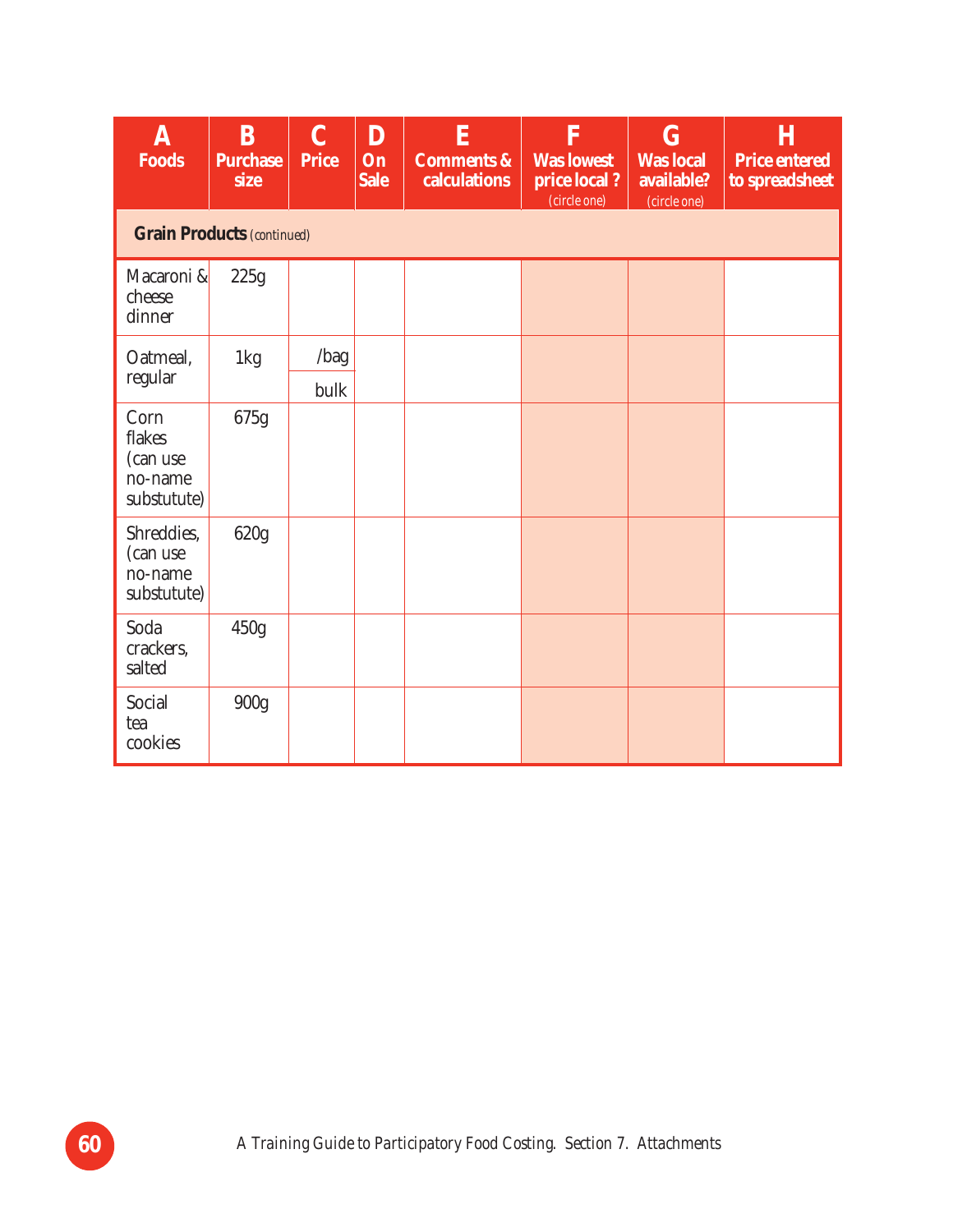| ${\bf A}$<br><b>Foods</b>                            | B<br><b>Purchase</b><br>size | $\mathbf C$<br><b>Price</b> | D<br>On<br><b>Sale</b> | E<br><b>Comments &amp;</b><br>calculations | $\overline{\mathbf{F}}$<br><b>Was lowest</b><br>price local?<br>(circle one) | $\bf G$<br><b>Was local</b><br>available?<br>(circle one) | Η<br><b>Price entered</b><br>to spreadsheet |  |  |  |  |
|------------------------------------------------------|------------------------------|-----------------------------|------------------------|--------------------------------------------|------------------------------------------------------------------------------|-----------------------------------------------------------|---------------------------------------------|--|--|--|--|
| <b>Grain Products (continued)</b>                    |                              |                             |                        |                                            |                                                                              |                                                           |                                             |  |  |  |  |
| Macaroni &<br>cheese<br>dinner                       | 225g                         |                             |                        |                                            |                                                                              |                                                           |                                             |  |  |  |  |
| Oatmeal,                                             | 1kg                          | /bag                        |                        |                                            |                                                                              |                                                           |                                             |  |  |  |  |
| regular                                              |                              | bulk                        |                        |                                            |                                                                              |                                                           |                                             |  |  |  |  |
| Corn<br>flakes<br>(can use<br>no-name<br>substutute) | 675g                         |                             |                        |                                            |                                                                              |                                                           |                                             |  |  |  |  |
| Shreddies,<br>(can use<br>no-name<br>substutute)     | 620g                         |                             |                        |                                            |                                                                              |                                                           |                                             |  |  |  |  |
| Soda<br>crackers,<br>salted                          | 450g                         |                             |                        |                                            |                                                                              |                                                           |                                             |  |  |  |  |
| Social<br>tea<br>cookies                             | 900g                         |                             |                        |                                            |                                                                              |                                                           |                                             |  |  |  |  |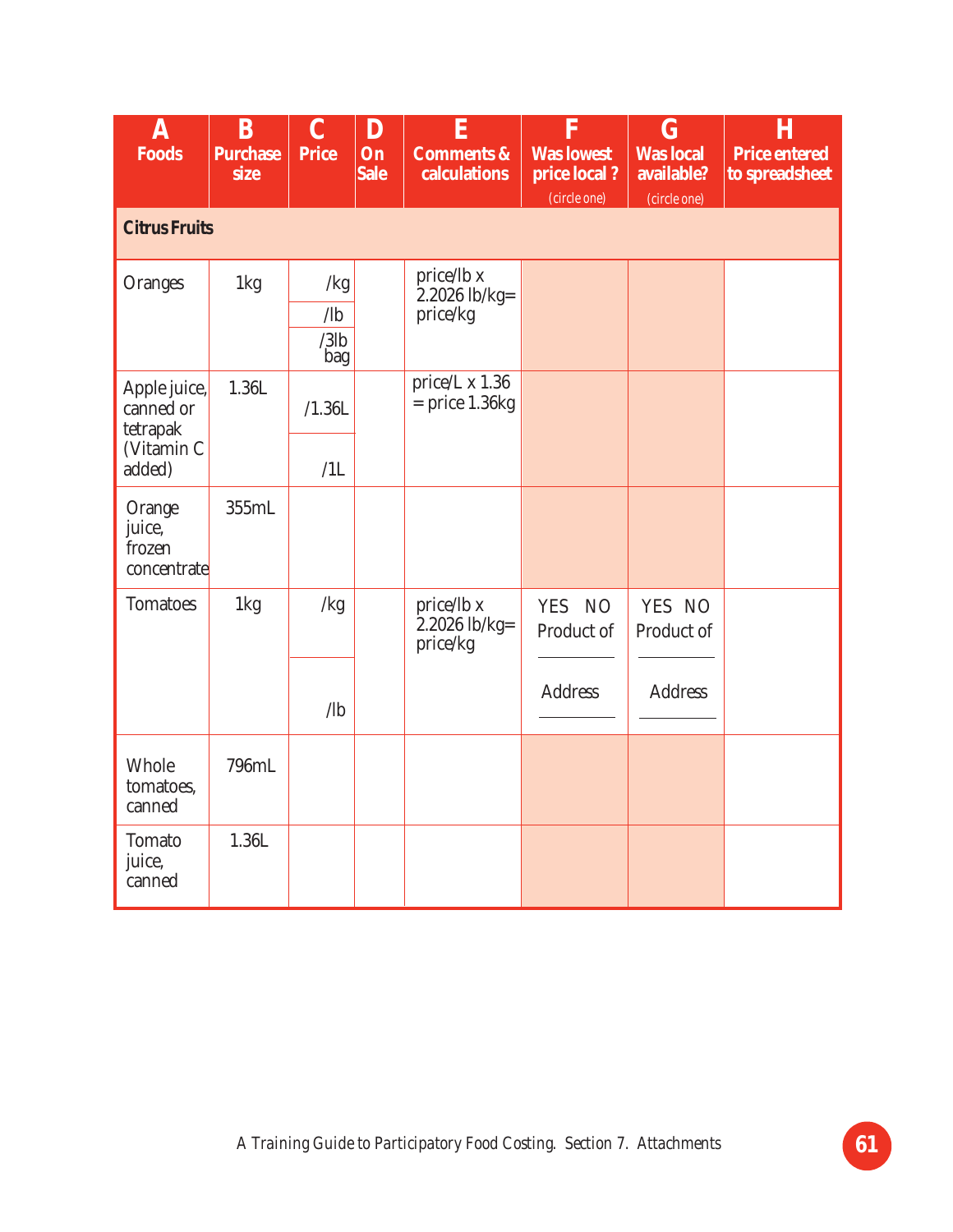| $\boldsymbol{\mathrm{A}}$<br><b>Foods</b>                     | B<br><b>Purchase</b><br>size | $\mathbf C$<br><b>Price</b>         | D<br>On<br><b>Sale</b> | E<br><b>Comments &amp;</b><br>calculations | F<br><b>Was lowest</b><br>price local?<br>(circle one) | G<br><b>Was local</b><br>available?<br>(circle one) | $\bf H$<br><b>Price entered</b><br>to spreadsheet |
|---------------------------------------------------------------|------------------------------|-------------------------------------|------------------------|--------------------------------------------|--------------------------------------------------------|-----------------------------------------------------|---------------------------------------------------|
| <b>Citrus Fruits</b>                                          |                              |                                     |                        |                                            |                                                        |                                                     |                                                   |
| <b>Oranges</b>                                                | 1kg                          | /kg<br>$\sqrt{a}$<br>$/3$ lb<br>bag |                        | price/lb x<br>$2.2026$ lb/kg=<br>price/kg  |                                                        |                                                     |                                                   |
| Apple juice,<br>canned or<br>tetrapak<br>(Vitamin C<br>added) | 1.36L                        | /1.36L<br>/1L                       |                        | price/L x 1.36<br>$=$ price 1.36 $kg$      |                                                        |                                                     |                                                   |
| Orange<br>juice,<br>frozen<br>concentrate                     | 355mL                        |                                     |                        |                                            |                                                        |                                                     |                                                   |
| <b>Tomatoes</b>                                               | 1kg                          | /kg                                 |                        | price/lb x<br>$2.2026$ lb/kg=<br>price/kg  | YES NO<br>Product of<br><b>Address</b>                 | YES NO<br>Product of<br><b>Address</b>              |                                                   |
|                                                               |                              | $\sqrt{ab}$                         |                        |                                            |                                                        |                                                     |                                                   |
| Whole<br>tomatoes,<br>canned                                  | 796mL                        |                                     |                        |                                            |                                                        |                                                     |                                                   |
| <b>Tomato</b><br>juice,<br>canned                             | 1.36L                        |                                     |                        |                                            |                                                        |                                                     |                                                   |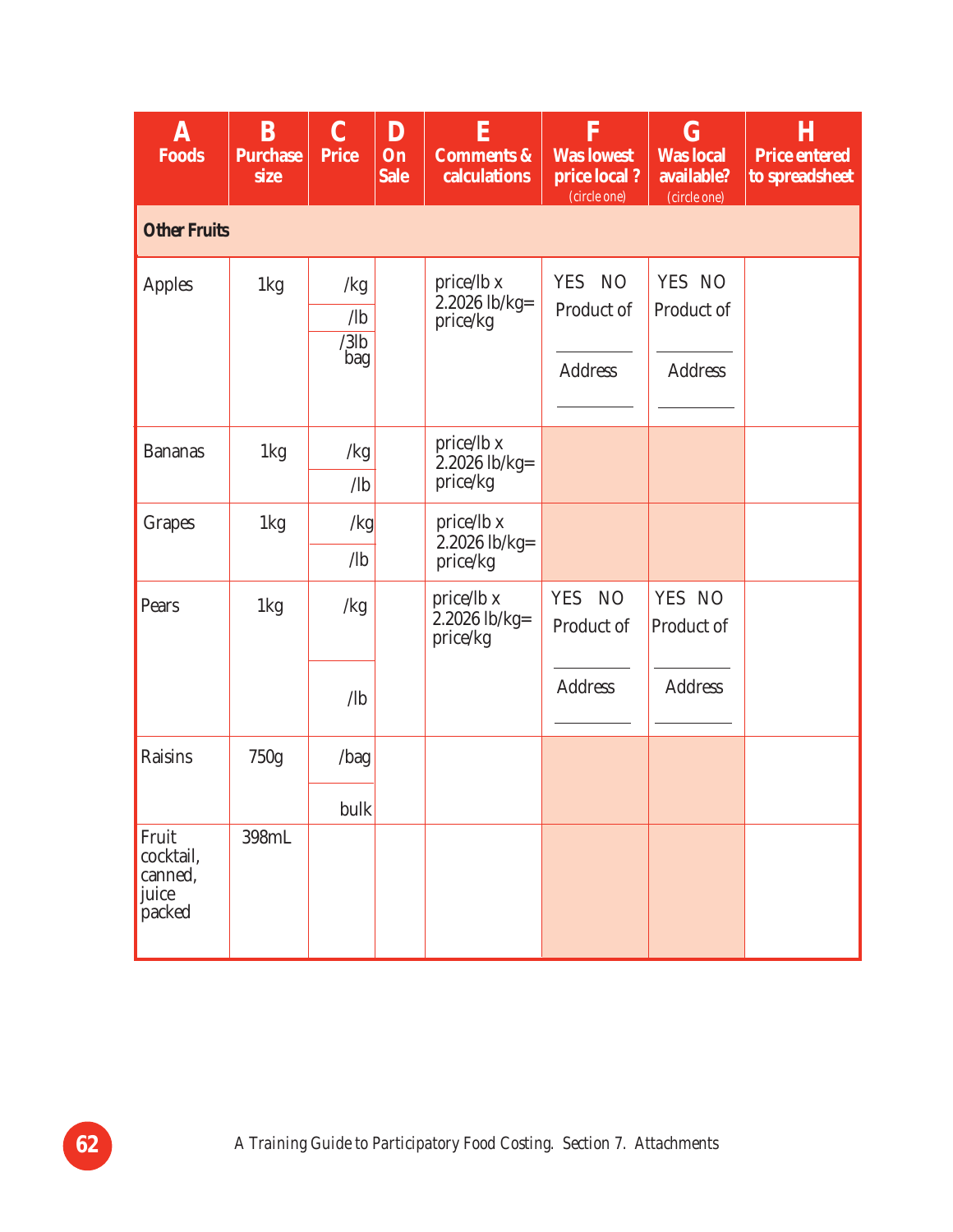| A<br><b>Foods</b>                                | B<br><b>Purchase</b><br>size | $\mathbf C$<br><b>Price</b>          | D<br>On<br><b>Sale</b> | ${\bf E}$<br><b>Comments &amp;</b><br>calculations | F<br><b>Was lowest</b><br>price local?<br>(circle one)  | $\bf G$<br><b>Was local</b><br>available?<br>(circle one) | Η<br><b>Price entered</b><br>to spreadsheet |
|--------------------------------------------------|------------------------------|--------------------------------------|------------------------|----------------------------------------------------|---------------------------------------------------------|-----------------------------------------------------------|---------------------------------------------|
| <b>Other Fruits</b>                              |                              |                                      |                        |                                                    |                                                         |                                                           |                                             |
| <b>Apples</b>                                    | 1kg                          | /kg<br>$\sqrt{1}b$<br>$/3$ lb<br>bag |                        | price/lb x<br>2.2026 lb/kg=<br>price/kg            | <b>NO</b><br><b>YES</b><br>Product of<br><b>Address</b> | YES NO<br>Product of<br><b>Address</b>                    |                                             |
| <b>Bananas</b>                                   | 1kg                          | /kg<br>$\sqrt{b}$                    |                        | price/lb x<br>$2.2026$ lb/kg=<br>price/kg          |                                                         |                                                           |                                             |
| <b>Grapes</b>                                    | 1kg                          | /kg<br>$\sqrt{1}b$                   |                        | price/lb x<br>$2.2026$ lb/kg=<br>price/kg          |                                                         |                                                           |                                             |
| Pears                                            | 1kg                          | /kg                                  |                        | price/lb x<br>$2.2026$ lb/kg=<br>price/kg          | <b>YES</b><br><b>NO</b><br>Product of                   | YES NO<br>Product of                                      |                                             |
|                                                  |                              | $\sqrt{b}$                           |                        |                                                    | <b>Address</b>                                          | <b>Address</b>                                            |                                             |
| <b>Raisins</b>                                   | 750g                         | /bag                                 |                        |                                                    |                                                         |                                                           |                                             |
|                                                  |                              | bulk                                 |                        |                                                    |                                                         |                                                           |                                             |
| Fruit<br>cocktail,<br>canned,<br>juice<br>packed | 398mL                        |                                      |                        |                                                    |                                                         |                                                           |                                             |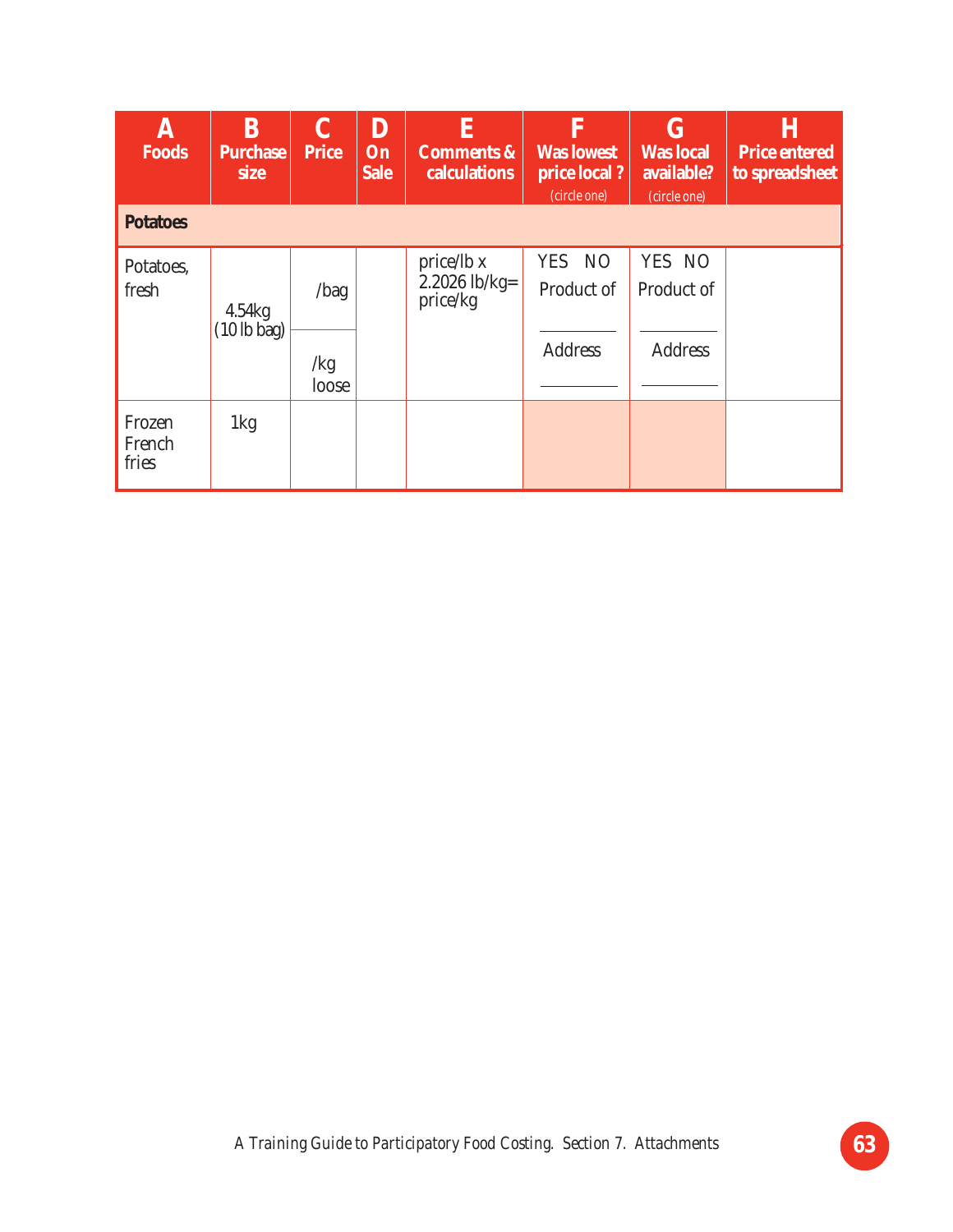| A<br><b>Foods</b>         | B<br><b>Purchase</b><br>size            | <b>Price</b>         | D<br>On<br><b>Sale</b> | E<br><b>Comments &amp;</b><br>calculations | F<br><b>Was lowest</b><br>price local?<br>(circle one) | $\bf G$<br><b>Was local</b><br>available?<br>(circle one) | Н<br><b>Price entered</b><br>to spreadsheet |
|---------------------------|-----------------------------------------|----------------------|------------------------|--------------------------------------------|--------------------------------------------------------|-----------------------------------------------------------|---------------------------------------------|
| <b>Potatoes</b>           |                                         |                      |                        |                                            |                                                        |                                                           |                                             |
| Potatoes,<br>fresh        | 4.54kg<br>$(10 \text{ lb } \text{bag})$ | /bag<br>/kg<br>loose |                        | price/lb x<br>$2.2026$ lb/kg=<br>price/kg  | YES NO<br>Product of<br><b>Address</b>                 | YES NO<br>Product of<br><b>Address</b>                    |                                             |
| Frozen<br>French<br>fries | 1kg                                     |                      |                        |                                            |                                                        |                                                           |                                             |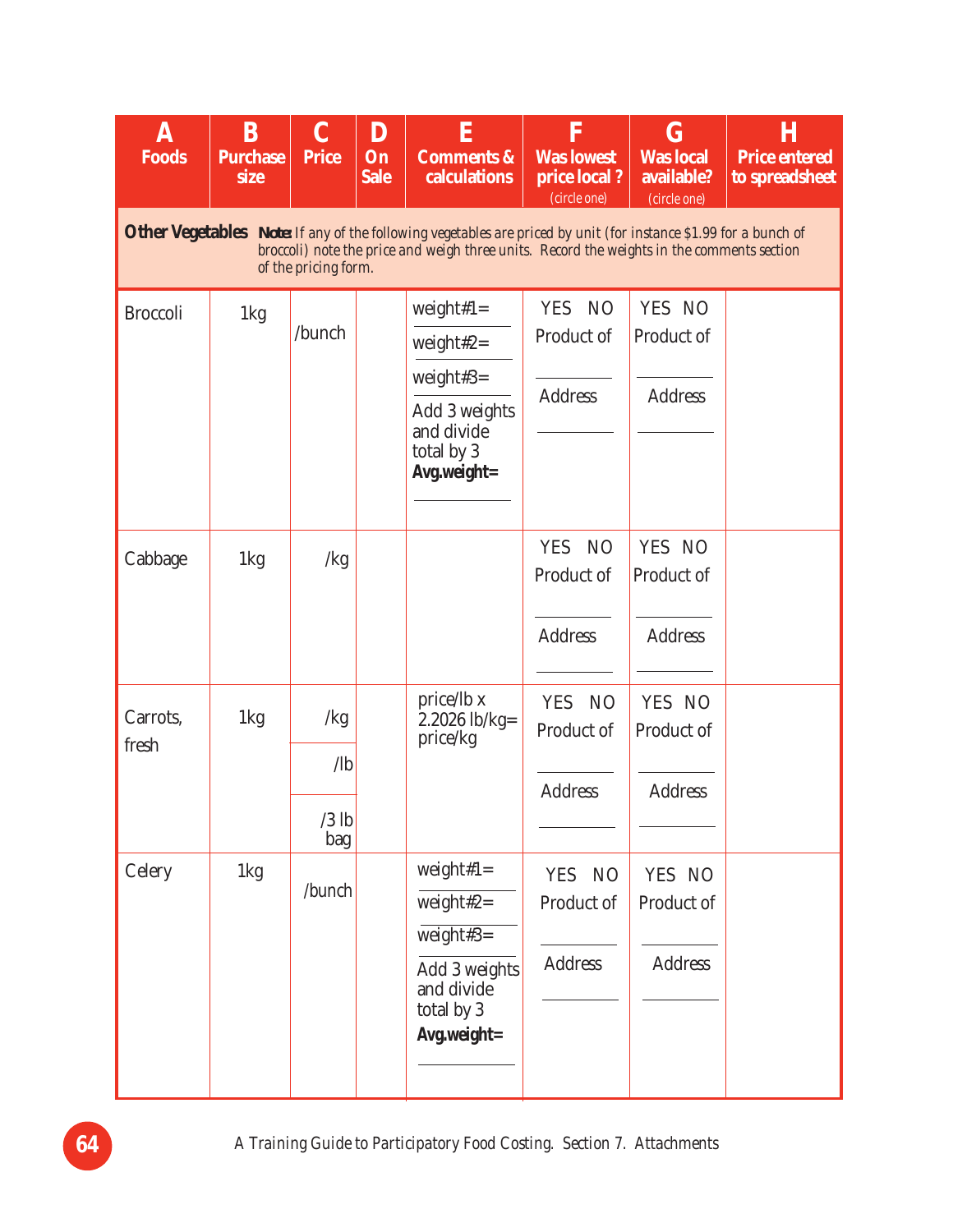| $\mathbf A$<br><b>Foods</b>                                                                                                                                                                                                            | B<br><b>Purchase</b><br>size | $\mathbf C$<br><b>Price</b>         | D<br>On<br><b>Sale</b> | E<br><b>Comments &amp;</b><br>calculations                                                           | F<br><b>Was lowest</b><br>price local?<br>(circle one)       | $\bf G$<br><b>Was local</b><br>available?<br>(circle one) | Н<br><b>Price entered</b><br>to spreadsheet |  |  |  |
|----------------------------------------------------------------------------------------------------------------------------------------------------------------------------------------------------------------------------------------|------------------------------|-------------------------------------|------------------------|------------------------------------------------------------------------------------------------------|--------------------------------------------------------------|-----------------------------------------------------------|---------------------------------------------|--|--|--|
| Other Vegetables Note: If any of the following vegetables are priced by unit (for instance \$1.99 for a bunch of<br>broccoli) note the price and weigh three units. Record the weights in the comments section<br>of the pricing form. |                              |                                     |                        |                                                                                                      |                                                              |                                                           |                                             |  |  |  |
| <b>Broccoli</b>                                                                                                                                                                                                                        | 1kg                          | /bunch                              |                        | weight#1=<br>weight#2 $=$<br>weight#3=<br>Add 3 weights<br>and divide<br>total by 3<br>Avg.weight=   | N <sub>O</sub><br><b>YES</b><br>Product of<br><b>Address</b> | YES NO<br>Product of<br><b>Address</b>                    |                                             |  |  |  |
| Cabbage                                                                                                                                                                                                                                | 1kg                          | /kg                                 |                        |                                                                                                      | <b>YES</b><br>N <sub>O</sub><br>Product of<br><b>Address</b> | YES NO<br>Product of<br><b>Address</b>                    |                                             |  |  |  |
| Carrots.<br>fresh                                                                                                                                                                                                                      | 1kg                          | /kg<br>$\sqrt{1}$<br>$/3$ lb<br>bag |                        | price/lb x<br>$2.2026$ lb/kg=<br>price/kg                                                            | <b>YES</b><br>N <sub>O</sub><br>Product of<br><b>Address</b> | YES NO<br>Product of<br><b>Address</b>                    |                                             |  |  |  |
| Celery                                                                                                                                                                                                                                 | 1kg                          | /bunch                              |                        | weight# $1=$<br>weight#2=<br>$weight#3=$<br>Add 3 weights<br>and divide<br>total by 3<br>Avg.weight= | <b>NO</b><br><b>YES</b><br>Product of<br><b>Address</b>      | YES NO<br>Product of<br><b>Address</b>                    |                                             |  |  |  |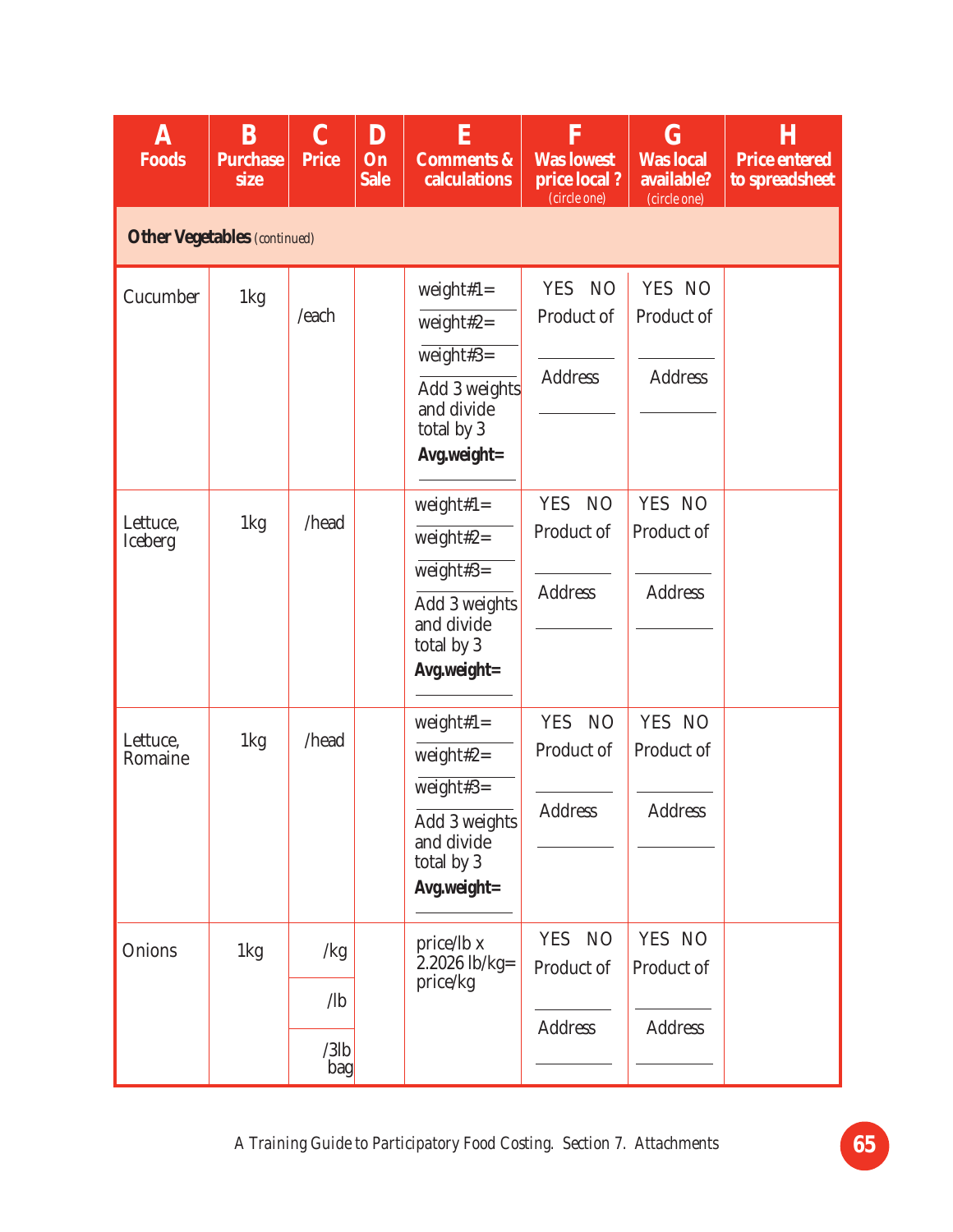| A<br><b>Foods</b>          | B<br><b>Purchase</b><br>size        | $\bf C$<br><b>Price</b>             | $\bf{D}$<br>On<br><b>Sale</b> | E<br><b>Comments &amp;</b><br>calculations                                                            | $\overline{\mathbf{F}}$<br><b>Was lowest</b><br>price local?<br>(circle one) | $\bf G$<br><b>Was</b> local<br>available?<br>(circle one) | Η<br><b>Price entered</b><br>to spreadsheet |  |  |  |  |  |
|----------------------------|-------------------------------------|-------------------------------------|-------------------------------|-------------------------------------------------------------------------------------------------------|------------------------------------------------------------------------------|-----------------------------------------------------------|---------------------------------------------|--|--|--|--|--|
|                            | <b>Other Vegetables</b> (continued) |                                     |                               |                                                                                                       |                                                                              |                                                           |                                             |  |  |  |  |  |
| Cucumber                   | 1kg                                 | /each                               |                               | weight# $1=$<br>weight#2=<br>weight#3=<br>Add 3 weights<br>and divide<br>total by 3<br>Avg.weight=    | <b>YES</b><br><b>NO</b><br>Product of<br><b>Address</b>                      | YES NO<br>Product of<br><b>Address</b>                    |                                             |  |  |  |  |  |
| Lettuce,<br><b>Iceberg</b> | 1kg                                 | /head                               |                               | weight# $1=$<br>weight#2 $=$<br>weight#3=<br>Add 3 weights<br>and divide<br>total by 3<br>Avg.weight= | <b>YES</b><br>N <sub>O</sub><br>Product of<br><b>Address</b>                 | YES NO<br>Product of<br><b>Address</b>                    |                                             |  |  |  |  |  |
| Lettuce,<br>Romaine        | 1kg                                 | /head                               |                               | weight# $1=$<br>weight#2 $=$<br>weight#3=<br>Add 3 weights<br>and divide<br>total by 3<br>Avg.weight= | <b>YES</b><br>N <sub>O</sub><br>Product of<br>Address                        | YES NO<br>Product of<br><b>Address</b>                    |                                             |  |  |  |  |  |
| Onions                     | 1kg                                 | /kg<br>$\sqrt{b}$<br>$/3$ lb<br>bag |                               | price/lb x<br>$2.2026$ lb/kg=<br>price/kg                                                             | <b>YES</b><br><b>NO</b><br>Product of<br><b>Address</b>                      | YES NO<br>Product of<br><b>Address</b>                    |                                             |  |  |  |  |  |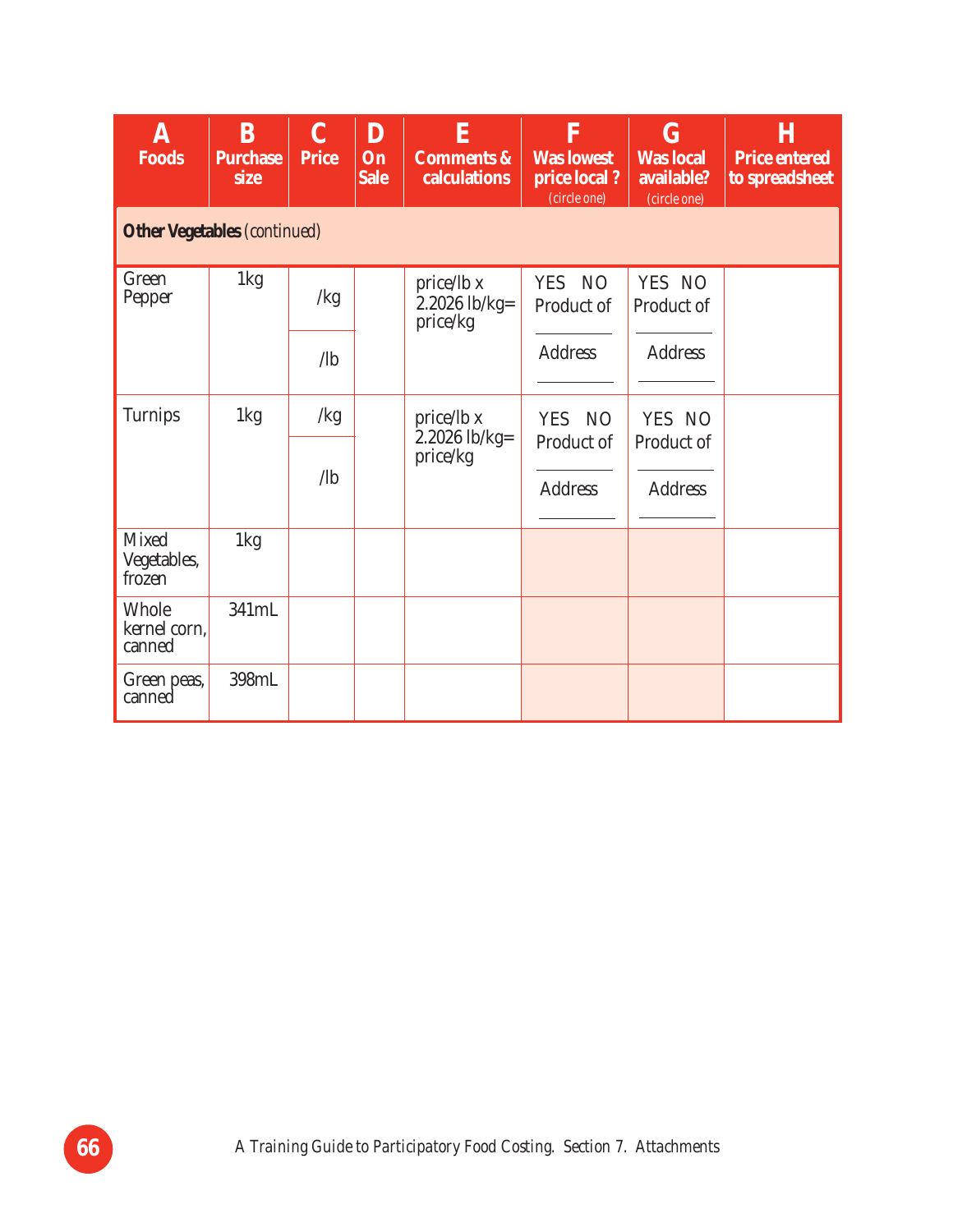| A<br>Foods                             | B<br><b>Purchase</b><br>size | $\mathbf C$<br><b>Price</b> | D<br>On<br><b>Sale</b> | E<br><b>Comments &amp;</b><br>calculations | $\mathbf F$<br><b>Was lowest</b><br>price local?<br>(circle one) | $\bf G$<br><b>Was local</b><br>available?<br>(circle one) | H<br><b>Price entered</b><br>to spreadsheet |
|----------------------------------------|------------------------------|-----------------------------|------------------------|--------------------------------------------|------------------------------------------------------------------|-----------------------------------------------------------|---------------------------------------------|
| <b>Other Vegetables</b> (continued)    |                              |                             |                        |                                            |                                                                  |                                                           |                                             |
| Green<br>Pepper                        | 1kg                          | /kg                         |                        | price/lb x<br>2.2026 lb/kg=<br>price/kg    | YES NO<br>Product of                                             | YES NO<br>Product of                                      |                                             |
|                                        |                              | $\sqrt{b}$                  |                        |                                            | <b>Address</b>                                                   | <b>Address</b>                                            |                                             |
| <b>Turnips</b>                         | 1kg                          | /kg                         |                        | price/lb x                                 | YES NO                                                           | YES NO                                                    |                                             |
|                                        |                              | $\sqrt{a}$                  |                        | $2.2026$ lb/kg=<br>price/kg                | Product of<br><b>Address</b>                                     | Product of<br><b>Address</b>                              |                                             |
| <b>Mixed</b><br>Vegetables,<br>frozen  | 1kg                          |                             |                        |                                            |                                                                  |                                                           |                                             |
| <b>Whole</b><br>kernel corn,<br>canned | 341mL                        |                             |                        |                                            |                                                                  |                                                           |                                             |
| Green peas,<br>canned                  | 398mL                        |                             |                        |                                            |                                                                  |                                                           |                                             |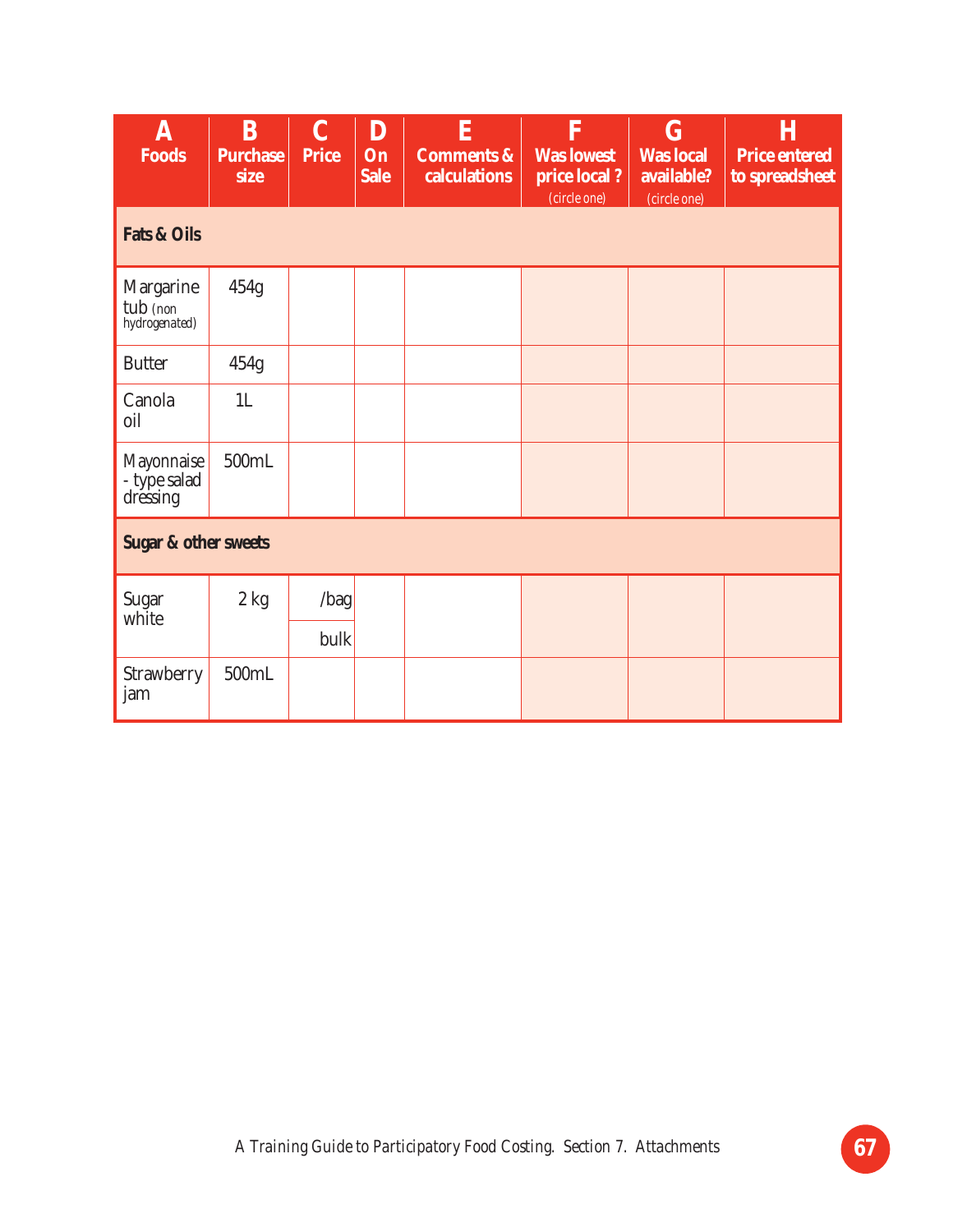| $\bf A$<br><b>Foods</b>                       | B<br><b>Purchase</b><br>size | $\mathbf C$<br><b>Price</b> | D<br>On<br><b>Sale</b> | E<br><b>Comments &amp;</b><br>calculations | F<br><b>Was lowest</b><br>price local?<br>(circle one) | $\bf G$<br><b>Was local</b><br>available?<br>(circle one) | Η<br><b>Price entered</b><br>to spreadsheet |
|-----------------------------------------------|------------------------------|-----------------------------|------------------------|--------------------------------------------|--------------------------------------------------------|-----------------------------------------------------------|---------------------------------------------|
| <b>Fats &amp; Oils</b>                        |                              |                             |                        |                                            |                                                        |                                                           |                                             |
| <b>Margarine</b><br>tub (non<br>hydrogenated) | 454g                         |                             |                        |                                            |                                                        |                                                           |                                             |
| <b>Butter</b>                                 | 454g                         |                             |                        |                                            |                                                        |                                                           |                                             |
| Canola<br>oil                                 | 1 <sub>L</sub>               |                             |                        |                                            |                                                        |                                                           |                                             |
| Mayonnaise<br>- type salad<br>dressing        | 500mL                        |                             |                        |                                            |                                                        |                                                           |                                             |
| <b>Sugar &amp; other sweets</b>               |                              |                             |                        |                                            |                                                        |                                                           |                                             |
| <b>Sugar</b>                                  | $2$ kg                       | $\vert$ bag $\vert$         |                        |                                            |                                                        |                                                           |                                             |
| white                                         |                              | bulk                        |                        |                                            |                                                        |                                                           |                                             |
| Strawberry<br>jam                             | 500mL                        |                             |                        |                                            |                                                        |                                                           |                                             |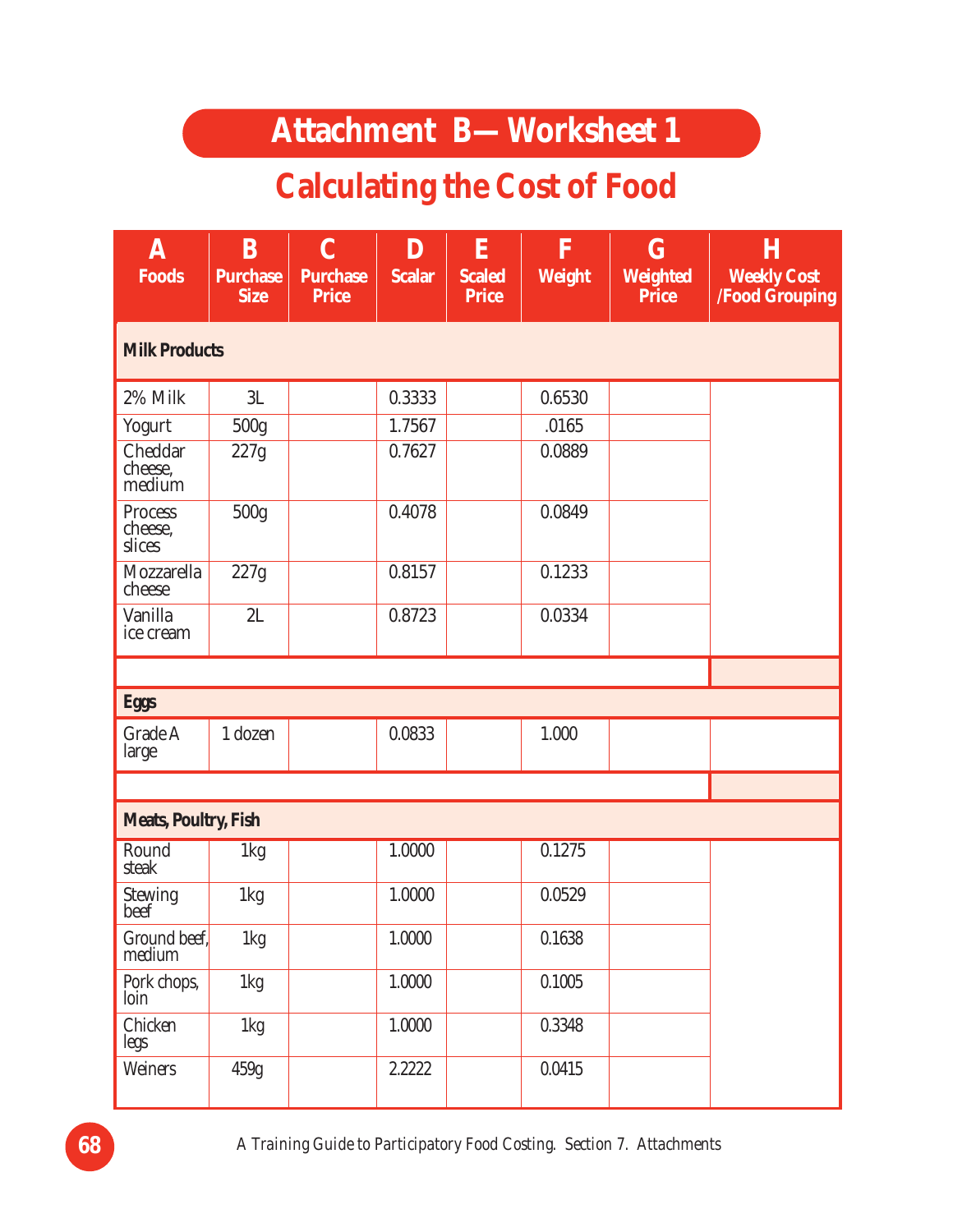#### **Attachment B—Worksheet 1**

### **Calculating the Cost of Food**

| A<br><b>Foods</b>                   | B<br><b>Purchase</b><br><b>Size</b> | $\mathbf C$<br><b>Purchase</b><br><b>Price</b> | D<br><b>Scalar</b> | ${\bf E}$<br><b>Scaled</b><br><b>Price</b> | F<br><b>Weight</b> | $\bf G$<br><b>Weighted</b><br><b>Price</b> | H<br><b>Weekly Cost</b><br><b>/Food Grouping</b> |
|-------------------------------------|-------------------------------------|------------------------------------------------|--------------------|--------------------------------------------|--------------------|--------------------------------------------|--------------------------------------------------|
| <b>Milk Products</b>                |                                     |                                                |                    |                                            |                    |                                            |                                                  |
| 2% Milk                             | 3L                                  |                                                | 0.3333             |                                            | 0.6530             |                                            |                                                  |
| Yogurt                              | 500g                                |                                                | 1.7567             |                                            | .0165              |                                            |                                                  |
| Cheddar<br>cheese,<br>medium        | 227g                                |                                                | 0.7627             |                                            | 0.0889             |                                            |                                                  |
| <b>Process</b><br>cheese,<br>slices | 500g                                |                                                | 0.4078             |                                            | 0.0849             |                                            |                                                  |
| Mozzarella<br>cheese                | 227g                                |                                                | 0.8157             |                                            | 0.1233             |                                            |                                                  |
| Vanilla<br>ice cream                | 2L                                  |                                                | 0.8723             |                                            | 0.0334             |                                            |                                                  |
|                                     |                                     |                                                |                    |                                            |                    |                                            |                                                  |
| <b>Eggs</b>                         |                                     |                                                |                    |                                            |                    |                                            |                                                  |
| Grade A<br>large                    | 1 dozen                             |                                                | 0.0833             |                                            | 1.000              |                                            |                                                  |
|                                     |                                     |                                                |                    |                                            |                    |                                            |                                                  |
| <b>Meats, Poultry, Fish</b>         |                                     |                                                |                    |                                            |                    |                                            |                                                  |
| Round<br>steak                      | 1kg                                 |                                                | 1.0000             |                                            | 0.1275             |                                            |                                                  |
| Stewing<br>beef                     | 1kg                                 |                                                | 1.0000             |                                            | 0.0529             |                                            |                                                  |
| Ground beef,<br>medium              | 1kg                                 |                                                | 1.0000             |                                            | 0.1638             |                                            |                                                  |
| Pork chops,<br>loin                 | 1kg                                 |                                                | 1.0000             |                                            | 0.1005             |                                            |                                                  |
| Chicken<br>legs                     | 1kg                                 |                                                | 1.0000             |                                            | 0.3348             |                                            |                                                  |
| Weiners                             | 459g                                |                                                | 2.2222             |                                            | 0.0415             |                                            |                                                  |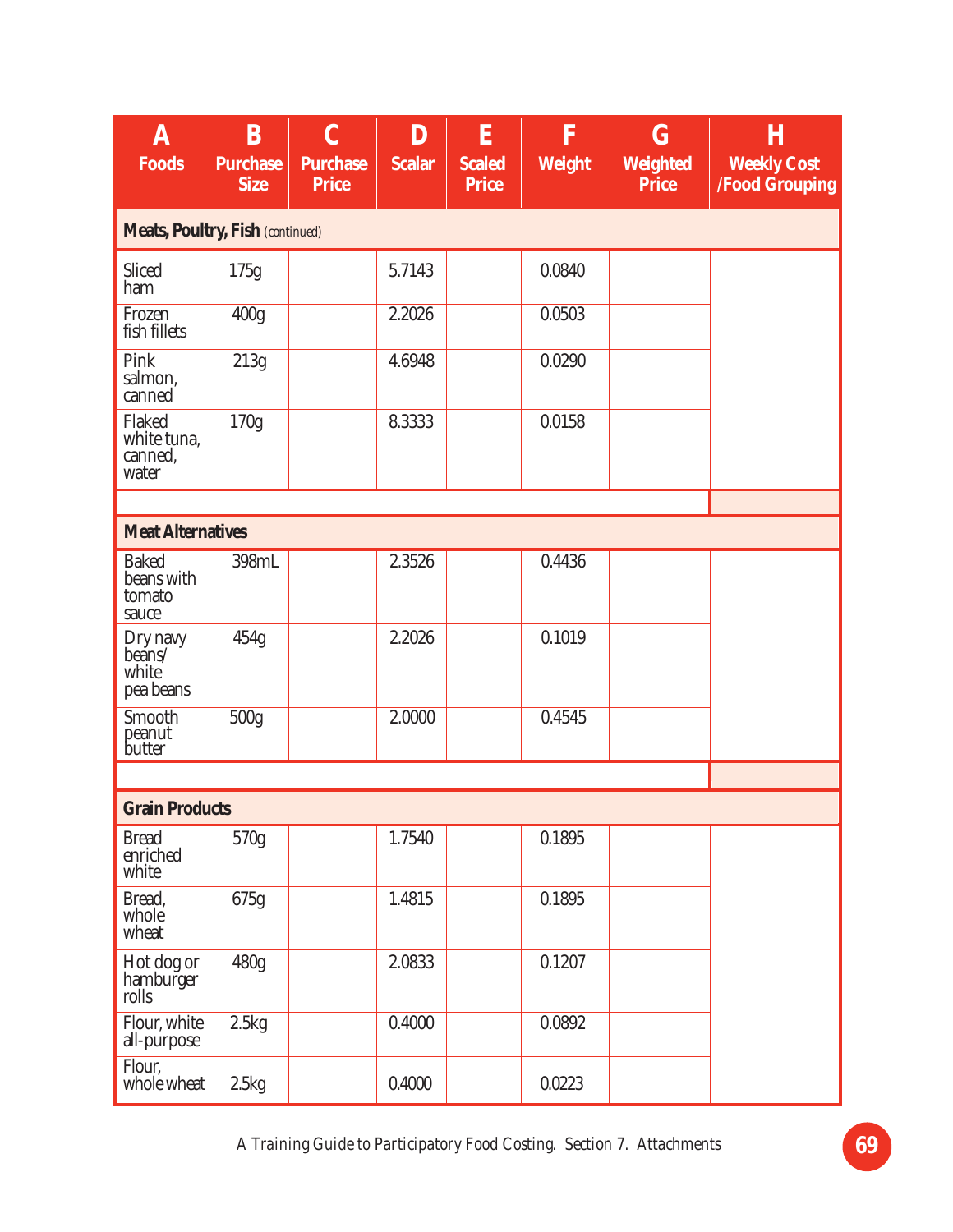| $\bm{\mathrm{A}}$<br><b>Foods</b>             | $\bf{B}$<br><b>Purchase</b><br><b>Size</b> | $\overline{C}$<br><b>Purchase</b><br><b>Price</b> | D<br><b>Scalar</b> | E<br><b>Scaled</b><br><b>Price</b> | $\mathbf F$<br><b>Weight</b> | $\mathbf G$<br><b>Weighted</b><br><b>Price</b> | $\bf H$<br><b>Weekly Cost</b><br><b>/Food Grouping</b> |
|-----------------------------------------------|--------------------------------------------|---------------------------------------------------|--------------------|------------------------------------|------------------------------|------------------------------------------------|--------------------------------------------------------|
| <b>Meats, Poultry, Fish (continued)</b>       |                                            |                                                   |                    |                                    |                              |                                                |                                                        |
| Sliced<br>ham                                 | 175g                                       |                                                   | 5.7143             |                                    | 0.0840                       |                                                |                                                        |
| Frozen<br>fish fillets                        | 400 <sub>g</sub>                           |                                                   | 2.2026             |                                    | 0.0503                       |                                                |                                                        |
| Pink<br>salmon,<br>canned                     | 213g                                       |                                                   | 4.6948             |                                    | 0.0290                       |                                                |                                                        |
| Flaked<br>white tuna,<br>canned,<br>water     | 170g                                       |                                                   | 8.3333             |                                    | 0.0158                       |                                                |                                                        |
|                                               |                                            |                                                   |                    |                                    |                              |                                                |                                                        |
| <b>Meat Alternatives</b>                      |                                            |                                                   |                    |                                    |                              |                                                |                                                        |
| <b>Baked</b><br>beans with<br>tomato<br>sauce | 398mL                                      |                                                   | 2.3526             |                                    | 0.4436                       |                                                |                                                        |
| Dry navy<br>beans/<br>white<br>pea beans      | 454g                                       |                                                   | 2.2026             |                                    | 0.1019                       |                                                |                                                        |
| Smooth<br>peanut<br>butter                    | 500g                                       |                                                   | 2.0000             |                                    | 0.4545                       |                                                |                                                        |
|                                               |                                            |                                                   |                    |                                    |                              |                                                |                                                        |
| <b>Grain Products</b>                         |                                            |                                                   |                    |                                    |                              |                                                |                                                        |
| <b>Bread</b><br>enriched<br>white             | 570g                                       |                                                   | 1.7540             |                                    | 0.1895                       |                                                |                                                        |
| Bread,<br>whole<br>wheat                      | 675g                                       |                                                   | 1.4815             |                                    | 0.1895                       |                                                |                                                        |
| Hot dog or<br>hamburger<br>rolls              | 480g                                       |                                                   | 2.0833             |                                    | 0.1207                       |                                                |                                                        |
| Flour, white<br>all-purpose                   | 2.5kg                                      |                                                   | 0.4000             |                                    | 0.0892                       |                                                |                                                        |
| Flour,<br>whole wheat                         | 2.5kg                                      |                                                   | 0.4000             |                                    | 0.0223                       |                                                |                                                        |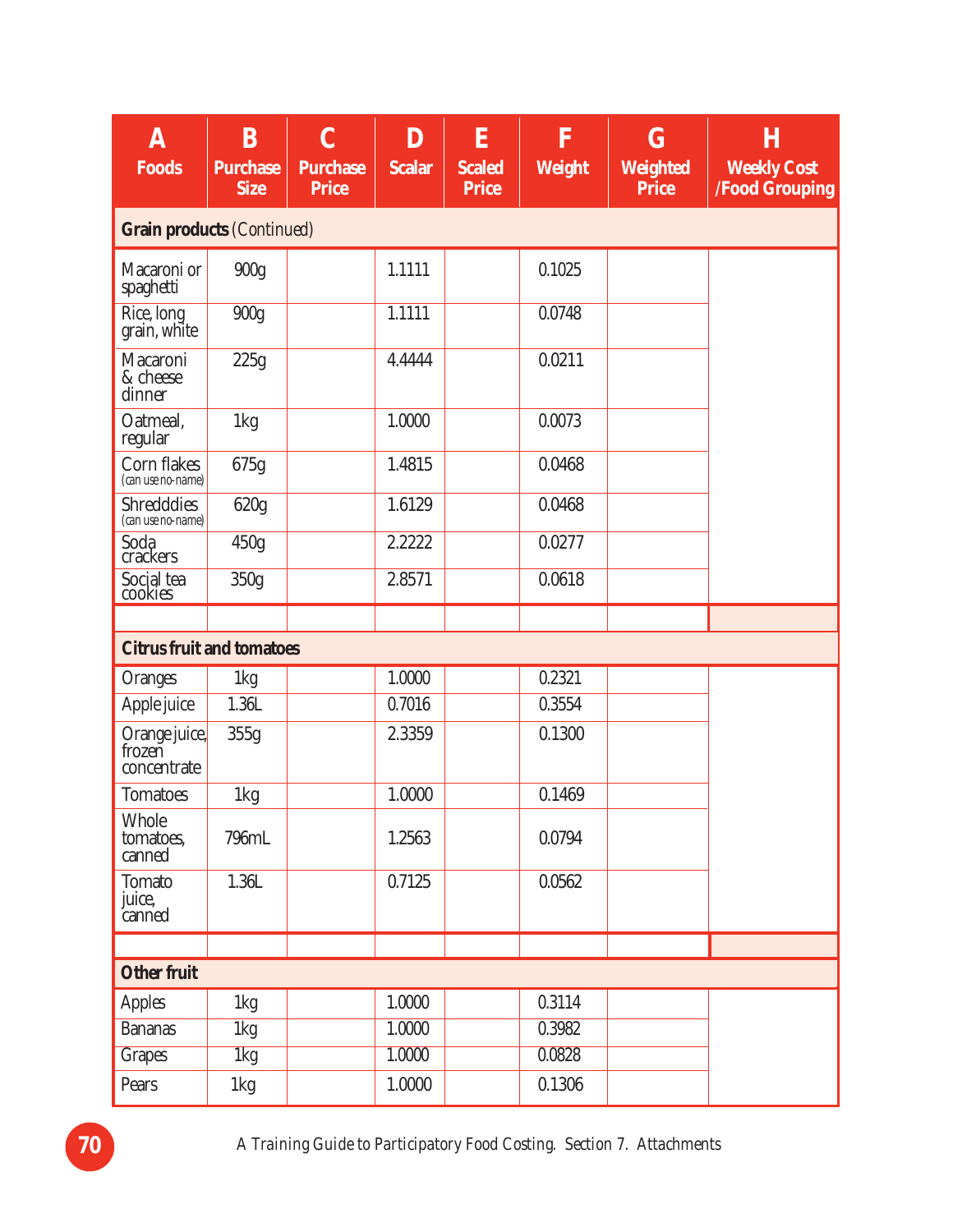| A<br><b>Foods</b>                      | B<br><b>Purchase</b><br><b>Size</b> | $\overline{C}$<br><b>Purchase</b><br><b>Price</b> | D<br><b>Scalar</b> | E<br><b>Scaled</b><br><b>Price</b> | F<br>Weight | $\bf G$<br><b>Weighted</b><br><b>Price</b> | Η<br><b>Weekly Cost</b><br><b>/Food Grouping</b> |
|----------------------------------------|-------------------------------------|---------------------------------------------------|--------------------|------------------------------------|-------------|--------------------------------------------|--------------------------------------------------|
| <b>Grain products (Continued)</b>      |                                     |                                                   |                    |                                    |             |                                            |                                                  |
| Macaroni or<br>spaghetti               | 900g                                |                                                   | 1.1111             |                                    | 0.1025      |                                            |                                                  |
| Rice, long<br>grain, white             | 900g                                |                                                   | 1.1111             |                                    | 0.0748      |                                            |                                                  |
| Macaroni<br>& cheese<br>dinner         | 225g                                |                                                   | 4.4444             |                                    | 0.0211      |                                            |                                                  |
| Oatmeal,<br>regular                    | 1kg                                 |                                                   | 1.0000             |                                    | 0.0073      |                                            |                                                  |
| Corn flakes<br>(can use no-name)       | 675g                                |                                                   | 1.4815             |                                    | 0.0468      |                                            |                                                  |
| <b>Shredddies</b><br>(can use no-name) | 620g                                |                                                   | 1.6129             |                                    | 0.0468      |                                            |                                                  |
| Soda<br>crackers                       | 450g                                |                                                   | 2.2222             |                                    | 0.0277      |                                            |                                                  |
| Social tea                             | 350g                                |                                                   | 2.8571             |                                    | 0.0618      |                                            |                                                  |
|                                        |                                     |                                                   |                    |                                    |             |                                            |                                                  |
| <b>Citrus fruit and tomatoes</b>       |                                     |                                                   |                    |                                    |             |                                            |                                                  |
| <b>Oranges</b>                         | 1kg                                 |                                                   | 1.0000             |                                    | 0.2321      |                                            |                                                  |
| Apple juice                            | 1.36L                               |                                                   | 0.7016             |                                    | 0.3554      |                                            |                                                  |
| Orange juice,<br>concentrate           | 355g                                |                                                   | 2.3359             |                                    | 0.1300      |                                            |                                                  |
| <b>Tomatoes</b>                        | 1kg                                 |                                                   | 1.0000             |                                    | 0.1469      |                                            |                                                  |
| Whole<br>tomatoes,<br>canned           | 796mL                               |                                                   | 1.2563             |                                    | 0.0794      |                                            |                                                  |
| <b>Tomato</b><br>juice,<br>canned      | 1.36L                               |                                                   | 0.7125             |                                    | 0.0562      |                                            |                                                  |
|                                        |                                     |                                                   |                    |                                    |             |                                            |                                                  |
| <b>Other fruit</b>                     |                                     |                                                   |                    |                                    |             |                                            |                                                  |
| <b>Apples</b>                          | 1kg                                 |                                                   | 1.0000             |                                    | 0.3114      |                                            |                                                  |
| <b>Bananas</b>                         | 1kg                                 |                                                   | 1.0000             |                                    | 0.3982      |                                            |                                                  |
| <b>Grapes</b>                          | 1kg                                 |                                                   | 1.0000             |                                    | 0.0828      |                                            |                                                  |
| Pears                                  | 1kg                                 |                                                   | 1.0000             |                                    | 0.1306      |                                            |                                                  |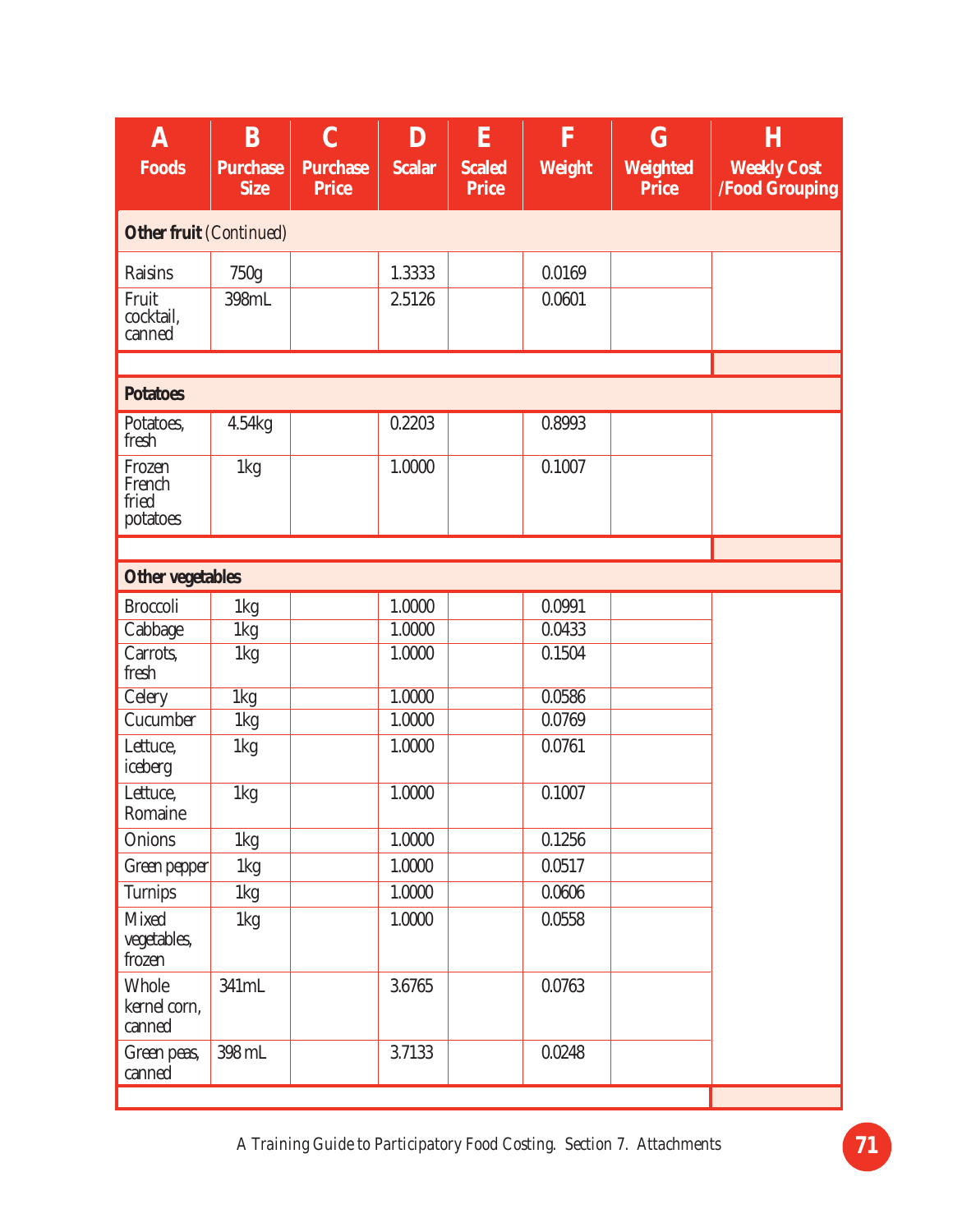| A<br><b>Foods</b>                     | $\bf{B}$<br><b>Purchase</b> | $\mathbf C$<br><b>Purchase</b> | D<br><b>Scalar</b> | E<br><b>Scaled</b> | $\overline{\mathbf{F}}$<br><b>Weight</b> | $\bf G$<br><b>Weighted</b> | $\boldsymbol{\mathrm{H}}$<br><b>Weekly Cost</b> |
|---------------------------------------|-----------------------------|--------------------------------|--------------------|--------------------|------------------------------------------|----------------------------|-------------------------------------------------|
|                                       | <b>Size</b>                 | <b>Price</b>                   |                    | <b>Price</b>       |                                          | <b>Price</b>               | <b>/Food Grouping</b>                           |
| Other fruit (Continued)               |                             |                                |                    |                    |                                          |                            |                                                 |
| <b>Raisins</b>                        | 750g                        |                                | 1.3333             |                    | 0.0169                                   |                            |                                                 |
| Fruit<br>cocktail,<br>canned          | 398mL                       |                                | 2.5126             |                    | 0.0601                                   |                            |                                                 |
|                                       |                             |                                |                    |                    |                                          |                            |                                                 |
| <b>Potatoes</b>                       |                             |                                |                    |                    |                                          |                            |                                                 |
| Potatoes,<br>fresh                    | 4.54kg                      |                                | 0.2203             |                    | 0.8993                                   |                            |                                                 |
| Frozen<br>French<br>fried<br>potatoes | 1kg                         |                                | 1.0000             |                    | 0.1007                                   |                            |                                                 |
|                                       |                             |                                |                    |                    |                                          |                            |                                                 |
| <b>Other vegetables</b>               |                             |                                |                    |                    |                                          |                            |                                                 |
| <b>Broccoli</b>                       | 1kg                         |                                | 1.0000             |                    | 0.0991                                   |                            |                                                 |
| Cabbage                               | 1kg                         |                                | 1.0000             |                    | 0.0433                                   |                            |                                                 |
| Carrots,<br>fresh                     | 1kg                         |                                | 1.0000             |                    | 0.1504                                   |                            |                                                 |
| <b>Celery</b>                         | $1\text{kg}$                |                                | 1.0000             |                    | 0.0586                                   |                            |                                                 |
| Cucumber                              | 1kg                         |                                | 1.0000             |                    | 0.0769                                   |                            |                                                 |
| Lettuce,<br>iceberg                   | 1kg                         |                                | 1.0000             |                    | 0.0761                                   |                            |                                                 |
| Lettuce,<br>Romaine                   | 1kg                         |                                | 1.0000             |                    | 0.1007                                   |                            |                                                 |
| Onions                                | 1kg                         |                                | 1.0000             |                    | 0.1256                                   |                            |                                                 |
| Green pepper                          | 1kg                         |                                | 1.0000             |                    | 0.0517                                   |                            |                                                 |
| <b>Turnips</b>                        | 1kg                         |                                | 1.0000             |                    | 0.0606                                   |                            |                                                 |
| <b>Mixed</b><br>vegetables,<br>frozen | 1kg                         |                                | 1.0000             |                    | 0.0558                                   |                            |                                                 |
| Whole<br>kernel corn,<br>canned       | 341mL                       |                                | 3.6765             |                    | 0.0763                                   |                            |                                                 |
| Green peas,<br>canned                 | 398 mL                      |                                | 3.7133             |                    | 0.0248                                   |                            |                                                 |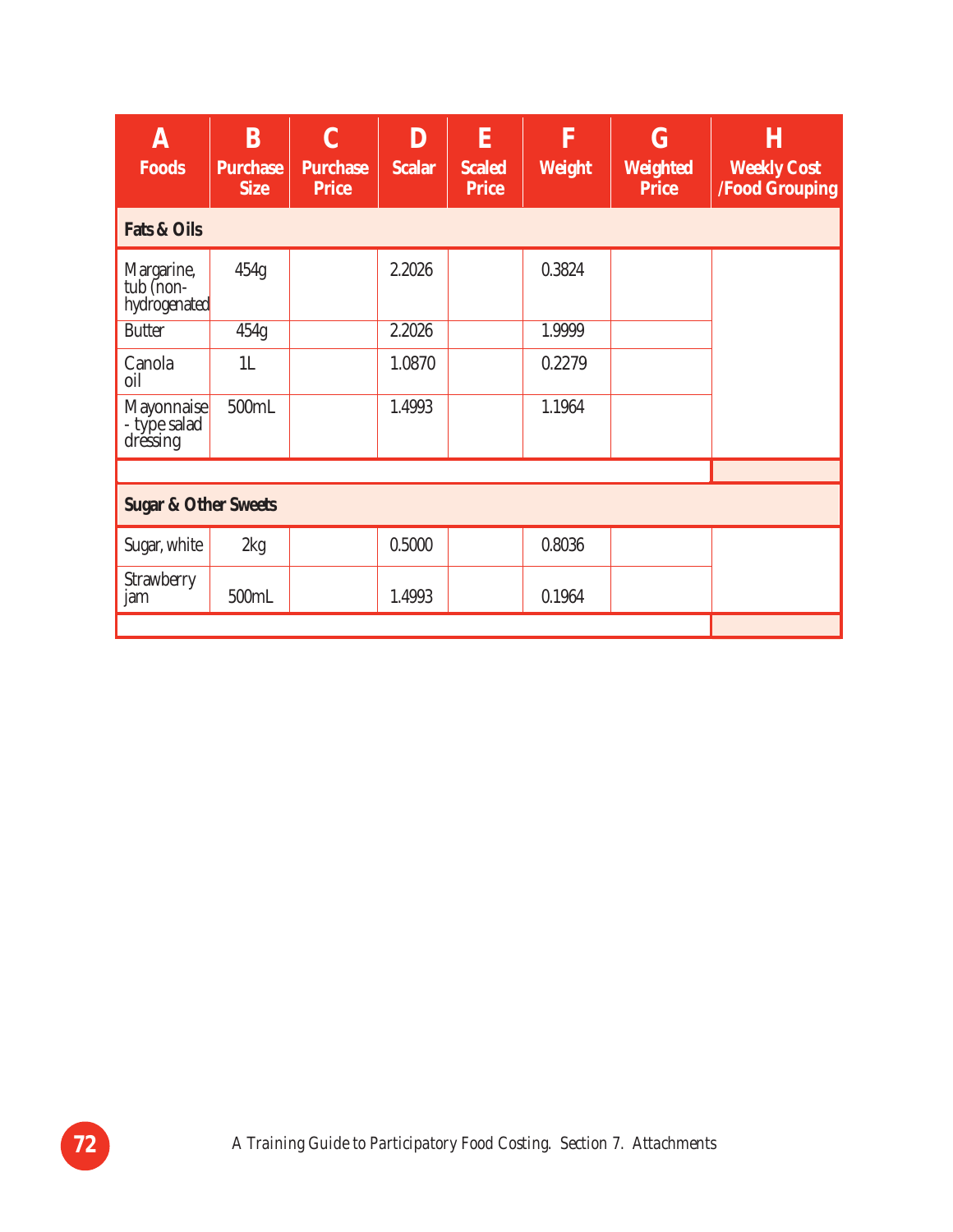| A<br><b>Foods</b>                       | B<br><b>Purchase</b><br><b>Size</b> | $\mathbf C$<br><b>Purchase</b><br><b>Price</b> | D<br><b>Scalar</b> | E<br><b>Scaled</b><br><b>Price</b> | $\overline{\mathbf{F}}$<br>Weight | $\bf G$<br><b>Weighted</b><br><b>Price</b> | H<br><b>Weekly Cost</b><br><b>/Food Grouping</b> |
|-----------------------------------------|-------------------------------------|------------------------------------------------|--------------------|------------------------------------|-----------------------------------|--------------------------------------------|--------------------------------------------------|
| <b>Fats &amp; Oils</b>                  |                                     |                                                |                    |                                    |                                   |                                            |                                                  |
| Margarine,<br>tub (non-<br>hydrogenated | 454g                                |                                                | 2.2026             |                                    | 0.3824                            |                                            |                                                  |
| <b>Butter</b>                           | 454g                                |                                                | 2.2026             |                                    | 1.9999                            |                                            |                                                  |
| Canola<br>oil                           | 1L                                  |                                                | 1.0870             |                                    | 0.2279                            |                                            |                                                  |
| Mayonnaise<br>- type salad<br>dressing  | 500mL                               |                                                | 1.4993             |                                    | 1.1964                            |                                            |                                                  |
|                                         |                                     |                                                |                    |                                    |                                   |                                            |                                                  |
| <b>Sugar &amp; Other Sweets</b>         |                                     |                                                |                    |                                    |                                   |                                            |                                                  |
| Sugar, white                            | 2kg                                 |                                                | 0.5000             |                                    | 0.8036                            |                                            |                                                  |
| Strawberry<br>jam                       | 500mL                               |                                                | 1.4993             |                                    | 0.1964                            |                                            |                                                  |
|                                         |                                     |                                                |                    |                                    |                                   |                                            |                                                  |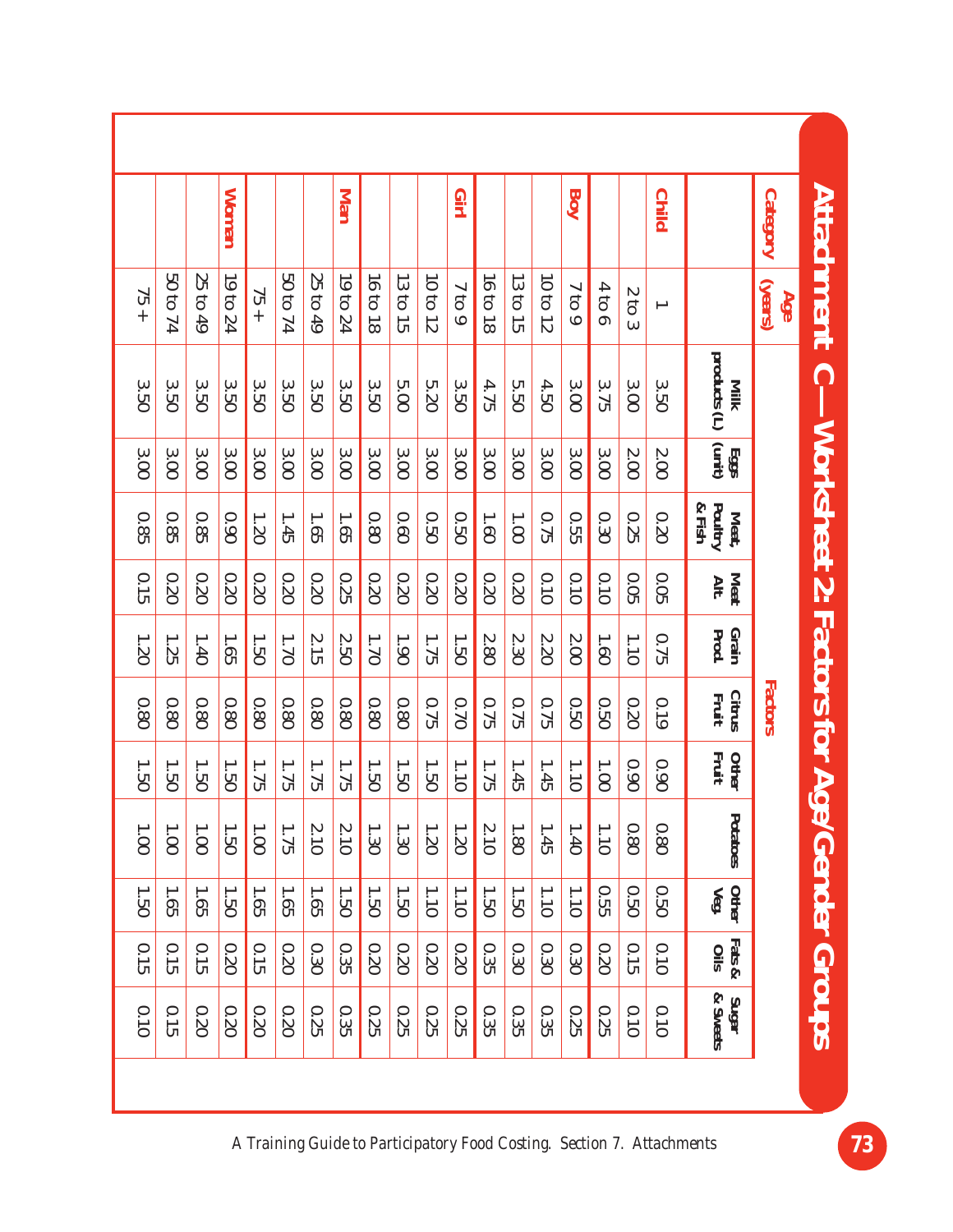| <b>Attachment</b>             | <b>Category</b> |                                     | <b>Child</b>             |                    |       | Boy      |          |          |          | Girj     |          |          |          | Man      |          |          |          | <b>Woman</b> |          |          |        |
|-------------------------------|-----------------|-------------------------------------|--------------------------|--------------------|-------|----------|----------|----------|----------|----------|----------|----------|----------|----------|----------|----------|----------|--------------|----------|----------|--------|
|                               | (years)<br>Age  |                                     | $\overline{\phantom{0}}$ | Z<br>$\frac{1}{3}$ | 4000  | ┙<br>601 | 10 to 12 | 13 to 15 | 16 to 18 | 7 to 9   | 10 to 12 | 13 to 15 | 16 to 18 | 19 to 24 | 25 to 49 | 50 to 74 | $75 +$   | 19 to 24     | 25 to 49 | 50 to 74 | $75 +$ |
| $\bigcap$                     |                 | products (L)<br>Milk                | 3.50                     | 3.00               | 3.75  | 3.00     | 4.50     | 5.50     | 4.75     | 3.50     | 5.20     | 5.000    | 3.50     | 3.50     | 3.50     | 3.50     | 3.50     | 3.50         | 3.50     | 3.50     | 3.50   |
|                               |                 | $\frac{\mathrm{Egg}}{\mathrm{Ggg}}$ | 2.00                     | 007                | 3.00  | 3.00     | 3.00     | 3.00     | 3.00     | 3.00     | 3.00     | 3.00     | 3.00     | 3.00     | 3.00     | 3.00     | 3.00     | 3.00         | 3.00     | 3.00     | 3.00   |
| -Worksheet 2: Factors for Age |                 | Poultry<br>& Fish<br>Meat,          | 0.20                     | 0.25               | 0.30  | 0.55     | 0.75     | 1.00     | 1.60     | 0.50     | 0.50     | 0.60     | 0.80     | 1.65     | 1.65     | 1.45     | 1.20     | 0.90         | 0.85     | 0.85     | 0.85   |
|                               |                 | <b>Meat</b><br>Alt.                 | 0.05                     | 0.05               | 010   | 0.10     | 01.0     | 02.0     | 0.20     | 0.20     | 0.20     | 0.20     | 0.20     | 0.25     | 0.20     | 0.20     | 0.20     | 0.20         | 0.20     | 0.20     | 0.15   |
|                               |                 | Grain<br>Prod.                      | 0.75                     | 1.10               | 1.60  | 2.00     | 07.20    | 2.30     | 2.80     | 1.50     | 1.75     | 1.90     | 02.1     | 2.50     | 2.15     | 1.70     | 1.50     | 1.65         | 1.40     | 1.25     | 02.1   |
|                               | Factors         | <b>Citrus</b><br>Fruit              | 0.19                     | 0.20               | 0.50  | 0.50     | 0.75     | 0.75     | 0.75     | 0.70     | 0.75     | 0.80     | 0.80     | 0.80     | 0.80     | 0.80     | 0.80     | 0.80         | 0.80     | 0.80     | 08'0   |
|                               |                 | Fruit<br>Other                      | 0.90                     | 0.90               | 1.001 | 1.10     | 1.45     | 1.45     | 1.75     | 1.10     | 1.50     | 1.50     | 1.50     | 1.75     | 1.75     | 1.75     | 1.75     | 1.50         | 1.50     | 1.50     | 1.50   |
|                               |                 | Potatoes                            | 0.80                     | 0.80               | 1.10  | 1.40     | 1.45     | 1.80     | 2.10     | 1.20     | 1.20     | 1.30     | 1.30     | 2.10     | 2.10     | 1.75     | $1.00\,$ | 1.50         | 1.00     | 1.001    | 1.00   |
|                               |                 | Other<br>Veg.                       | 0.50                     | 0.50               | 0.55  | 1.10     | 1.10     | 1.50     | 1.50     | $1.10\,$ | 1.10     | 1.50     | 1.50     | 1.50     | 1.65     | 1.65     | 1.65     | 1.50         | 1.65     | 1.65     | 1.50   |
|                               |                 | Fats &<br>Oils                      | 0.10                     | 0.15               | 0.20  | 0.30     | 0.30     | 0.30     | 0.35     | 0.20     | 0.20     | 0.20     | 0.20     | 0.35     | 0.30     | 02.0     | 0.15     | 0.20         | 0.15     | 0.15     | 0.15   |
| <b>Cender Groups</b>          |                 | Sugar<br>& Sweets                   | 0.10                     | 0.10               | 0.25  | 0.25     | 0.35     | 0.35     | 0.35     | 0.25     | 0.25     | 0.25     | 0.25     | 0.35     | 0.25     | 0.20     | 0.20     | 0.20         | 0.20     | 0.15     | 0.10   |
|                               |                 |                                     |                          |                    |       |          |          |          |          |          |          |          |          |          |          |          |          |              |          |          |        |

*A Training Guide to Participatory Food Costing. Section 7. Attachments* **73**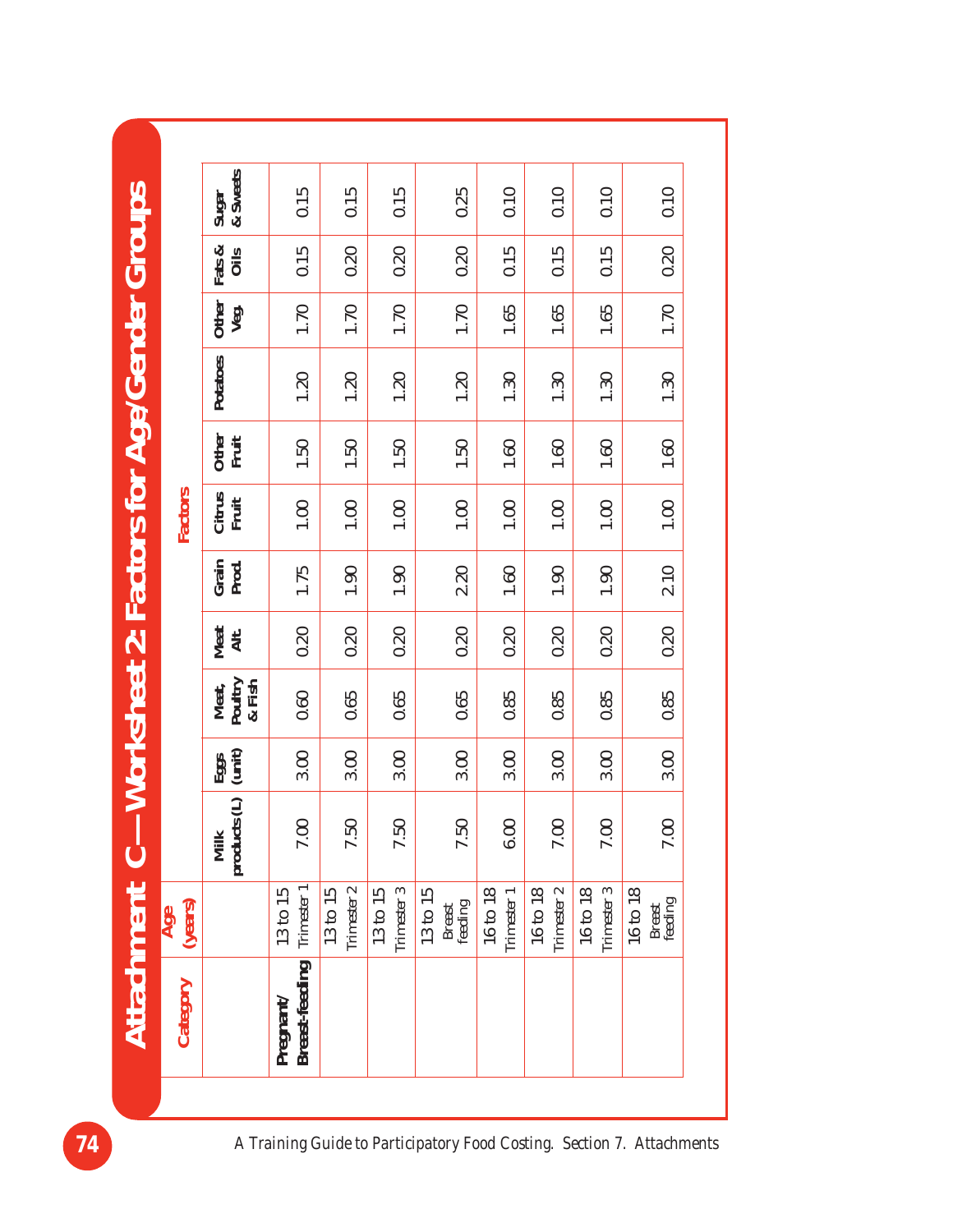|                                             |                | Sugar<br>& Sweets             | 0.15                       | 0.15                    | 0.15                    |                               | 0.25<br>0.10            | 0.10                    | 0.10                              | 0.10                          |
|---------------------------------------------|----------------|-------------------------------|----------------------------|-------------------------|-------------------------|-------------------------------|-------------------------|-------------------------|-----------------------------------|-------------------------------|
|                                             |                | Fats &<br>Oils                | 0.15                       | 0.20                    | 0.20                    |                               | 0.15<br>0.20            | 0.15                    | 0.15                              | 0.20                          |
|                                             |                | Other<br>Veg.                 | 1.70                       | 1.70                    | 1.70                    |                               | 1.70<br>1.65            | 1.65                    | 1.65                              | 1.70                          |
| -Worksheet 2: Factors for Age/Gender Groups |                | Potatoes                      | 1.20                       | 1.20                    | 1.20                    |                               | 1.20<br>1.30            | 1.30                    | 1.30                              | 1.30                          |
|                                             |                | Other<br>Fruit                | 1.50                       | 1.50                    | 1.50                    |                               | 1.50<br>1.60            | 1.60                    | 1.60                              | 1.60                          |
|                                             | Factors        | Citrus<br>Fruit               | $1.00$                     | $1.00$                  | $1.00$                  |                               | $1.00$<br>1.00          | 1.00                    | $1.00$                            | 1.00                          |
|                                             |                | Grain<br>Prod.                | 1.75                       | 1.90                    | 1.90                    |                               | 2.20<br>1.60            | 1.90                    | 1.90                              | 2.10                          |
|                                             |                | Meat<br>Alt.                  | 0.20                       | 0.20                    | 0.20                    |                               | 0.20<br>0.20            | 0.20                    | 0.20                              | 0.20                          |
|                                             |                | Poultry<br>& Fish<br>Meat,    | 0.60                       | 0.65                    | 0.65                    |                               | 0.85<br>0.65            | 0.85                    | 0.85                              | 0.85                          |
|                                             |                | Eggs<br>(unit)                | 3.00                       | 3.00                    | 3.00                    |                               | 3.00<br>3.00            | 3.00                    | 3.00                              | 3.00                          |
|                                             |                | $\ominus$<br>products<br>Milk | 7.00                       | 7.50                    | 7.50                    |                               | 7.50<br>6.00            | $7.00\,$                | 7.00                              | 7.00                          |
|                                             | (years)<br>Age |                               | Trimester 1<br>13 to 15    | Trimester 2<br>13 to 15 | Trimester 3<br>13 to 15 | 13 to 15<br>Breast<br>feeding | 16 to 18<br>Trimester 1 | Trimester 2<br>16 to 18 | Trimester 3<br>$16\;{\rm to}\;18$ | 16 to 18<br>Breast<br>feeding |
| Attachment C                                | Category       |                               | Breast-feeding<br>Pregnant |                         |                         |                               |                         |                         |                                   |                               |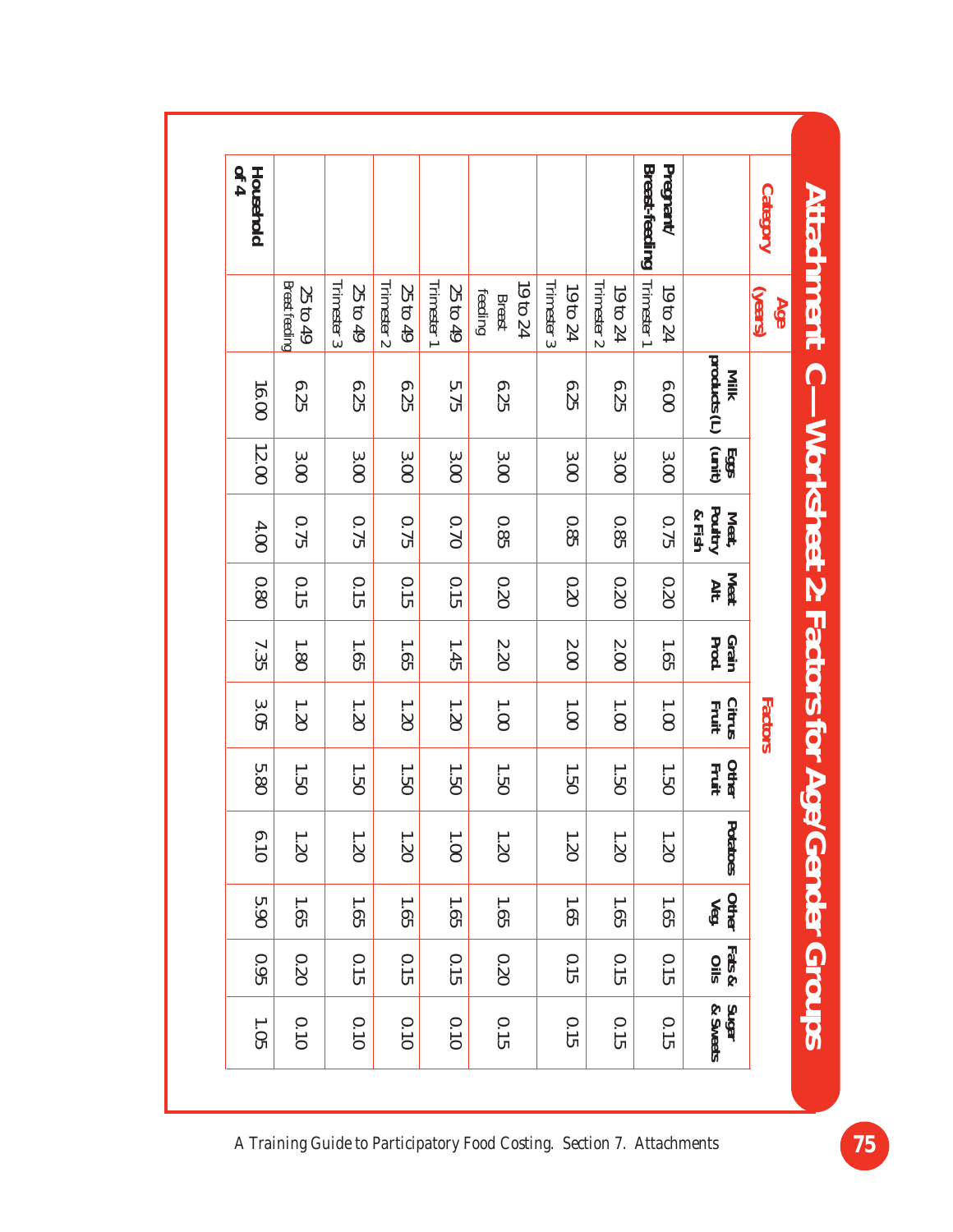| Household<br>of 4 |                                   |                         |                         |                         |                                      |                         |                         | Breast-feeding<br>Pregnant/ |                                        | <b>Category</b><br><b>Attachment</b> |
|-------------------|-----------------------------------|-------------------------|-------------------------|-------------------------|--------------------------------------|-------------------------|-------------------------|-----------------------------|----------------------------------------|--------------------------------------|
|                   | <b>Breast feeding</b><br>25 to 49 | Trimester 3<br>25 to 49 | Trimester 2<br>25 to 49 | Trimester 1<br>25 to 49 | 19 to 24<br>feeding<br><b>Breast</b> | Trimester 3<br>19 to 24 | Trimester 2<br>19 to 24 | Trimester 1<br>19 to 24     |                                        | (years)<br>Age                       |
| 16.00             | 6.25                              | 6.25                    | 6.25                    | 5.75                    | 6.25                                 | 6.25                    | 6.25                    | 0.00                        | products (L)<br>Milk                   | $\bigcap$                            |
| 12.00             | 3.00                              | 3.000                   | 3.000                   | 3.000                   | 3.00                                 | 3.00                    | 3.00                    | 3.00                        | $\frac{\mathrm{Eggs}}{\mathrm{tunit}}$ |                                      |
| 4.00              | 0.75                              | 0.75                    | 0.75                    | 0.70                    | 0.85                                 | 0.85                    | 0.85                    | 0.75                        | Poultry<br>& Fish<br>Meat,             | <b>Worksheet 2: Factors for Age</b>  |
| 0.80              | 0.15                              | 0.15                    | 0.15                    | 0.15                    | 02.0                                 | 0.20                    | 0.20                    | 02.0                        | <b>Meat</b><br>Alt.                    |                                      |
| 7.35              | 1.80                              | 1.65                    | 1.65                    | 1.45                    | 2.20                                 | $2.00$                  | $2.00$                  | 1.65                        | Grain<br>Prod.                         |                                      |
| 3.05              | 1.20                              | 1.20                    | 1.20                    | 02.1                    | 1.00                                 | 1.00                    | 1.00                    | 1.00                        | <b>Citrus</b><br>Fruit                 | Factors                              |
| 5.80              | 1.50                              | 1.50                    | 1.50                    | 1.50                    | 1.50                                 | 1.50                    | 1.50                    | 1.50                        | Other<br>Fruit                         |                                      |
| 6.10              | 1.20                              | 1.20                    | 1.20                    | 1.00                    | 1.20                                 | 1.20                    | 1.20                    | 1.20                        | Potatoes                               |                                      |
| 5.90              | 1.65                              | 1.65                    | 1.65                    | 1.65                    | 1.65                                 | 1.65                    | 1.65                    | 1.65                        | Other $Veg$ .                          |                                      |
| 0.95              | 02.0                              | 0.15                    | 0.15                    | 0.15                    | 02.0                                 | 0.15                    | 0.15                    | 0.15                        | Fats &<br>Oils                         | <b>Gender Groups</b>                 |
| 1.05              | 0.10                              | 0.10                    | 0.10                    | 0.10                    | 0.15                                 | 0.15                    | 0.15                    | 0.15                        | Sugar<br>& Sweets                      |                                      |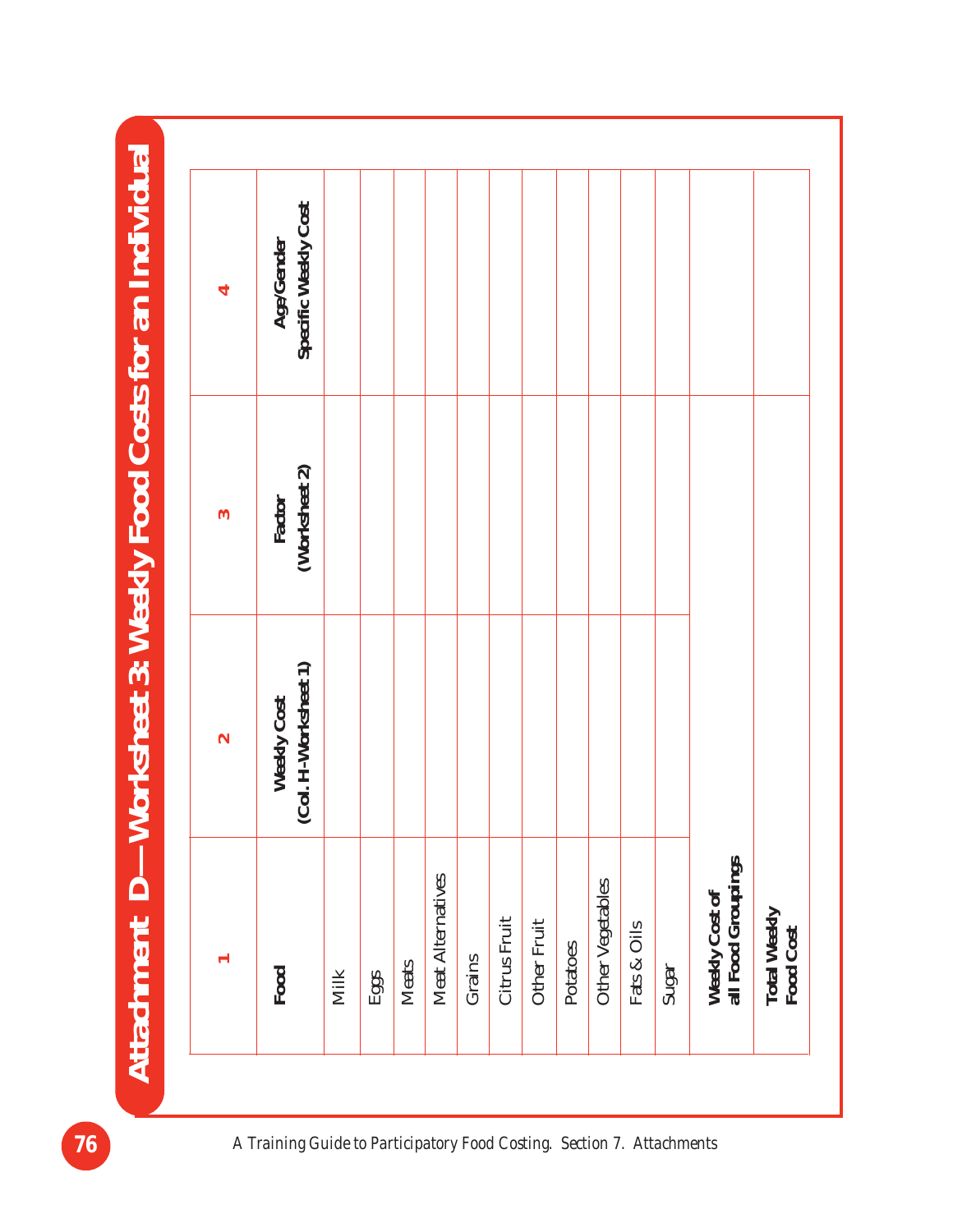Attachment D-Worksheet 3: Weekly Food Costs for an Individual **Attachment D—Worksheet 3: Weekly Food Costs for an Individual**

|                                      | $\sim$                              | ွ                       | ↤                                  |
|--------------------------------------|-------------------------------------|-------------------------|------------------------------------|
| Food                                 | Weekly Cost<br>(Col. H-Worksheet 1) | Factor<br>(Worksheet 2) | Age/Gender<br>Specific Weekly Cost |
| <b>Milk</b>                          |                                     |                         |                                    |
| Eggs                                 |                                     |                         |                                    |
| <b>Meats</b>                         |                                     |                         |                                    |
| Meat Alternatives                    |                                     |                         |                                    |
| Grains                               |                                     |                         |                                    |
| Citrus Fruit                         |                                     |                         |                                    |
| <b>Other Fruit</b>                   |                                     |                         |                                    |
| Potatoes                             |                                     |                         |                                    |
| Other Vegetables                     |                                     |                         |                                    |
| Fats & Oils                          |                                     |                         |                                    |
| Sugar                                |                                     |                         |                                    |
| Weekly Cost of<br>all Food Groupings |                                     |                         |                                    |
| <b>Total Weekly</b><br>Food Cost     |                                     |                         |                                    |

**76** *A Training Guide to Participatory Food Costing. Section 7. Attachments*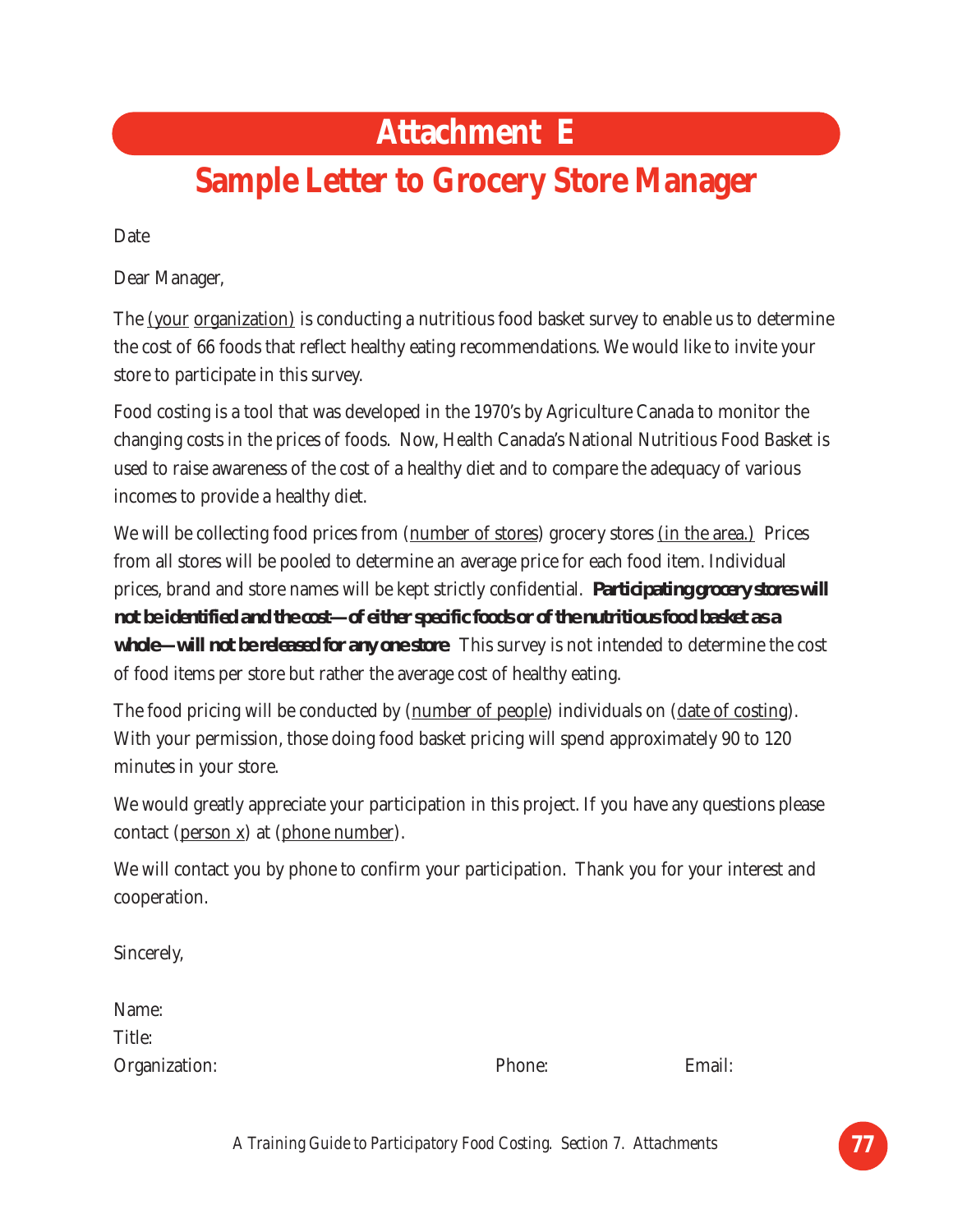#### **Attachment E**

## **Sample Letter to Grocery Store Manager**

Date

Dear Manager,

The (your organization) is conducting a nutritious food basket survey to enable us to determine the cost of 66 foods that reflect healthy eating recommendations. We would like to invite your store to participate in this survey.

Food costing is a tool that was developed in the 1970's by Agriculture Canada to monitor the changing costs in the prices of foods. Now, Health Canada's National Nutritious Food Basket is used to raise awareness of the cost of a healthy diet and to compare the adequacy of various incomes to provide a healthy diet.

We will be collecting food prices from (number of stores) grocery stores (in the area.) Prices from all stores will be pooled to determine an average price for each food item. Individual prices, brand and store names will be kept strictly confidential. *Participating grocery stores will not be identified and the cost—of either specific foods or of the nutritious food basket as a whole—will not be released for any one store*. This survey is not intended to determine the cost of food items per store but rather the average cost of healthy eating.

The food pricing will be conducted by (number of people) individuals on (date of costing). With your permission, those doing food basket pricing will spend approximately 90 to 120 minutes in your store.

We would greatly appreciate your participation in this project. If you have any questions please contact (person x) at (phone number).

We will contact you by phone to confirm your participation. Thank you for your interest and cooperation.

Sincerely,

| Name:         |        |        |
|---------------|--------|--------|
| Title:        |        |        |
| Organization: | Phone: | Email: |

*A Training Guide to Participatory Food Costing. Section 7. Attachments* **77**